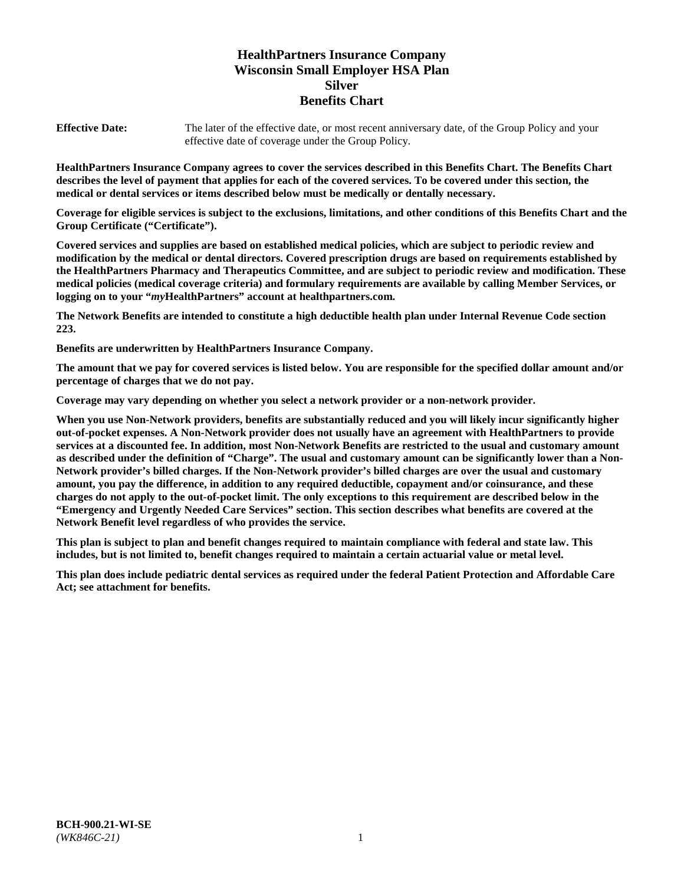# **HealthPartners Insurance Company Wisconsin Small Employer HSA Plan Silver Benefits Chart**

**Effective Date:** The later of the effective date, or most recent anniversary date, of the Group Policy and your effective date of coverage under the Group Policy.

**HealthPartners Insurance Company agrees to cover the services described in this Benefits Chart. The Benefits Chart describes the level of payment that applies for each of the covered services. To be covered under this section, the medical or dental services or items described below must be medically or dentally necessary.**

**Coverage for eligible services is subject to the exclusions, limitations, and other conditions of this Benefits Chart and the Group Certificate ("Certificate").**

**Covered services and supplies are based on established medical policies, which are subject to periodic review and modification by the medical or dental directors. Covered prescription drugs are based on requirements established by the HealthPartners Pharmacy and Therapeutics Committee, and are subject to periodic review and modification. These medical policies (medical coverage criteria) and formulary requirements are available by calling Member Services, or logging on to your "***my***HealthPartners" account at [healthpartners.com.](https://www.healthpartners.com/hp/index.html)**

**The Network Benefits are intended to constitute a high deductible health plan under Internal Revenue Code section 223.**

**Benefits are underwritten by HealthPartners Insurance Company.**

**The amount that we pay for covered services is listed below. You are responsible for the specified dollar amount and/or percentage of charges that we do not pay.**

**Coverage may vary depending on whether you select a network provider or a non-network provider.**

**When you use Non-Network providers, benefits are substantially reduced and you will likely incur significantly higher out-of-pocket expenses. A Non-Network provider does not usually have an agreement with HealthPartners to provide services at a discounted fee. In addition, most Non-Network Benefits are restricted to the usual and customary amount as described under the definition of "Charge". The usual and customary amount can be significantly lower than a Non-Network provider's billed charges. If the Non-Network provider's billed charges are over the usual and customary amount, you pay the difference, in addition to any required deductible, copayment and/or coinsurance, and these charges do not apply to the out-of-pocket limit. The only exceptions to this requirement are described below in the "Emergency and Urgently Needed Care Services" section. This section describes what benefits are covered at the Network Benefit level regardless of who provides the service.**

**This plan is subject to plan and benefit changes required to maintain compliance with federal and state law. This includes, but is not limited to, benefit changes required to maintain a certain actuarial value or metal level.**

**This plan does include pediatric dental services as required under the federal Patient Protection and Affordable Care Act; see attachment for benefits.**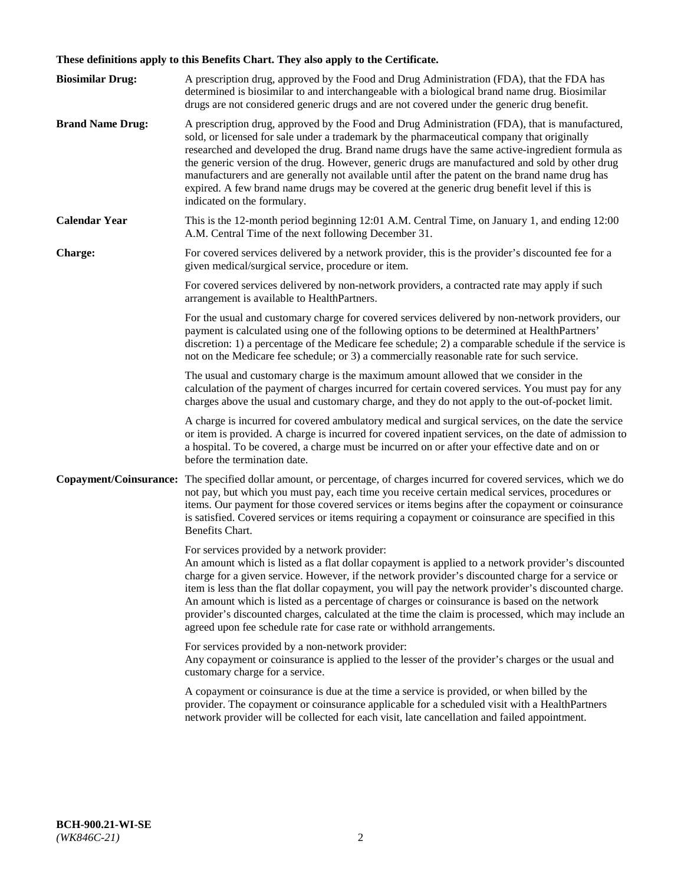# **These definitions apply to this Benefits Chart. They also apply to the Certificate.**

| <b>Biosimilar Drug:</b> | A prescription drug, approved by the Food and Drug Administration (FDA), that the FDA has<br>determined is biosimilar to and interchangeable with a biological brand name drug. Biosimilar<br>drugs are not considered generic drugs and are not covered under the generic drug benefit.                                                                                                                                                                                                                                                                                                                                                     |
|-------------------------|----------------------------------------------------------------------------------------------------------------------------------------------------------------------------------------------------------------------------------------------------------------------------------------------------------------------------------------------------------------------------------------------------------------------------------------------------------------------------------------------------------------------------------------------------------------------------------------------------------------------------------------------|
| <b>Brand Name Drug:</b> | A prescription drug, approved by the Food and Drug Administration (FDA), that is manufactured,<br>sold, or licensed for sale under a trademark by the pharmaceutical company that originally<br>researched and developed the drug. Brand name drugs have the same active-ingredient formula as<br>the generic version of the drug. However, generic drugs are manufactured and sold by other drug<br>manufacturers and are generally not available until after the patent on the brand name drug has<br>expired. A few brand name drugs may be covered at the generic drug benefit level if this is<br>indicated on the formulary.           |
| <b>Calendar Year</b>    | This is the 12-month period beginning 12:01 A.M. Central Time, on January 1, and ending 12:00<br>A.M. Central Time of the next following December 31.                                                                                                                                                                                                                                                                                                                                                                                                                                                                                        |
| <b>Charge:</b>          | For covered services delivered by a network provider, this is the provider's discounted fee for a<br>given medical/surgical service, procedure or item.                                                                                                                                                                                                                                                                                                                                                                                                                                                                                      |
|                         | For covered services delivered by non-network providers, a contracted rate may apply if such<br>arrangement is available to HealthPartners.                                                                                                                                                                                                                                                                                                                                                                                                                                                                                                  |
|                         | For the usual and customary charge for covered services delivered by non-network providers, our<br>payment is calculated using one of the following options to be determined at HealthPartners'<br>discretion: 1) a percentage of the Medicare fee schedule; 2) a comparable schedule if the service is<br>not on the Medicare fee schedule; or 3) a commercially reasonable rate for such service.                                                                                                                                                                                                                                          |
|                         | The usual and customary charge is the maximum amount allowed that we consider in the<br>calculation of the payment of charges incurred for certain covered services. You must pay for any<br>charges above the usual and customary charge, and they do not apply to the out-of-pocket limit.                                                                                                                                                                                                                                                                                                                                                 |
|                         | A charge is incurred for covered ambulatory medical and surgical services, on the date the service<br>or item is provided. A charge is incurred for covered inpatient services, on the date of admission to<br>a hospital. To be covered, a charge must be incurred on or after your effective date and on or<br>before the termination date.                                                                                                                                                                                                                                                                                                |
| Copayment/Coinsurance:  | The specified dollar amount, or percentage, of charges incurred for covered services, which we do<br>not pay, but which you must pay, each time you receive certain medical services, procedures or<br>items. Our payment for those covered services or items begins after the copayment or coinsurance<br>is satisfied. Covered services or items requiring a copayment or coinsurance are specified in this<br>Benefits Chart.                                                                                                                                                                                                             |
|                         | For services provided by a network provider:<br>An amount which is listed as a flat dollar copayment is applied to a network provider's discounted<br>charge for a given service. However, if the network provider's discounted charge for a service or<br>item is less than the flat dollar copayment, you will pay the network provider's discounted charge.<br>An amount which is listed as a percentage of charges or coinsurance is based on the network<br>provider's discounted charges, calculated at the time the claim is processed, which may include an<br>agreed upon fee schedule rate for case rate or withhold arrangements. |
|                         | For services provided by a non-network provider:<br>Any copayment or coinsurance is applied to the lesser of the provider's charges or the usual and<br>customary charge for a service.                                                                                                                                                                                                                                                                                                                                                                                                                                                      |
|                         | A copayment or coinsurance is due at the time a service is provided, or when billed by the<br>provider. The copayment or coinsurance applicable for a scheduled visit with a HealthPartners<br>network provider will be collected for each visit, late cancellation and failed appointment.                                                                                                                                                                                                                                                                                                                                                  |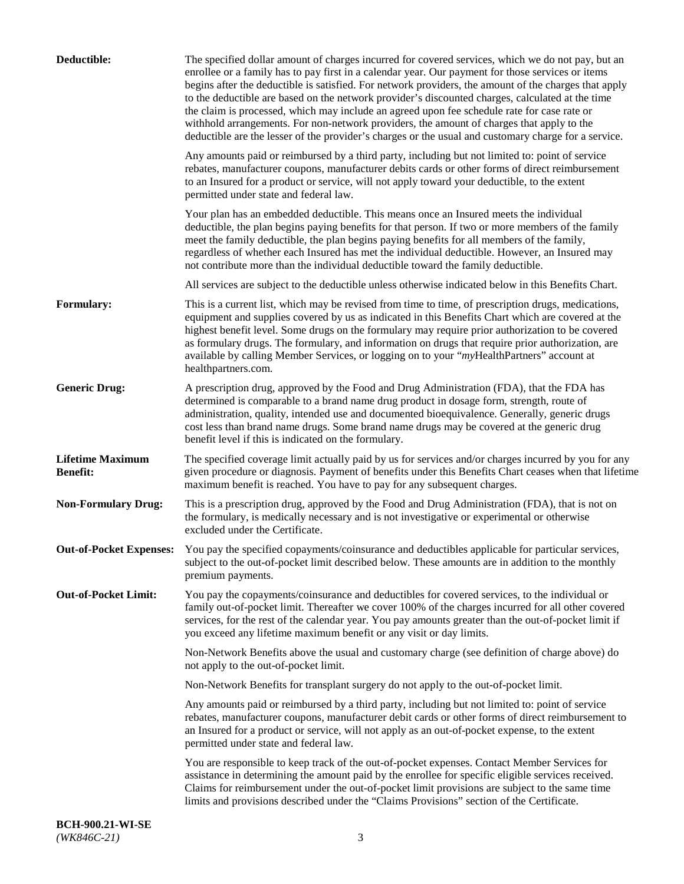| Deductible:                                | The specified dollar amount of charges incurred for covered services, which we do not pay, but an<br>enrollee or a family has to pay first in a calendar year. Our payment for those services or items<br>begins after the deductible is satisfied. For network providers, the amount of the charges that apply<br>to the deductible are based on the network provider's discounted charges, calculated at the time<br>the claim is processed, which may include an agreed upon fee schedule rate for case rate or<br>withhold arrangements. For non-network providers, the amount of charges that apply to the<br>deductible are the lesser of the provider's charges or the usual and customary charge for a service. |
|--------------------------------------------|-------------------------------------------------------------------------------------------------------------------------------------------------------------------------------------------------------------------------------------------------------------------------------------------------------------------------------------------------------------------------------------------------------------------------------------------------------------------------------------------------------------------------------------------------------------------------------------------------------------------------------------------------------------------------------------------------------------------------|
|                                            | Any amounts paid or reimbursed by a third party, including but not limited to: point of service<br>rebates, manufacturer coupons, manufacturer debits cards or other forms of direct reimbursement<br>to an Insured for a product or service, will not apply toward your deductible, to the extent<br>permitted under state and federal law.                                                                                                                                                                                                                                                                                                                                                                            |
|                                            | Your plan has an embedded deductible. This means once an Insured meets the individual<br>deductible, the plan begins paying benefits for that person. If two or more members of the family<br>meet the family deductible, the plan begins paying benefits for all members of the family,<br>regardless of whether each Insured has met the individual deductible. However, an Insured may<br>not contribute more than the individual deductible toward the family deductible.                                                                                                                                                                                                                                           |
|                                            | All services are subject to the deductible unless otherwise indicated below in this Benefits Chart.                                                                                                                                                                                                                                                                                                                                                                                                                                                                                                                                                                                                                     |
| <b>Formulary:</b>                          | This is a current list, which may be revised from time to time, of prescription drugs, medications,<br>equipment and supplies covered by us as indicated in this Benefits Chart which are covered at the<br>highest benefit level. Some drugs on the formulary may require prior authorization to be covered<br>as formulary drugs. The formulary, and information on drugs that require prior authorization, are<br>available by calling Member Services, or logging on to your "myHealthPartners" account at<br>healthpartners.com.                                                                                                                                                                                   |
| <b>Generic Drug:</b>                       | A prescription drug, approved by the Food and Drug Administration (FDA), that the FDA has<br>determined is comparable to a brand name drug product in dosage form, strength, route of<br>administration, quality, intended use and documented bioequivalence. Generally, generic drugs<br>cost less than brand name drugs. Some brand name drugs may be covered at the generic drug<br>benefit level if this is indicated on the formulary.                                                                                                                                                                                                                                                                             |
| <b>Lifetime Maximum</b><br><b>Benefit:</b> | The specified coverage limit actually paid by us for services and/or charges incurred by you for any<br>given procedure or diagnosis. Payment of benefits under this Benefits Chart ceases when that lifetime<br>maximum benefit is reached. You have to pay for any subsequent charges.                                                                                                                                                                                                                                                                                                                                                                                                                                |
| <b>Non-Formulary Drug:</b>                 | This is a prescription drug, approved by the Food and Drug Administration (FDA), that is not on<br>the formulary, is medically necessary and is not investigative or experimental or otherwise<br>excluded under the Certificate.                                                                                                                                                                                                                                                                                                                                                                                                                                                                                       |
|                                            | Out-of-Pocket Expenses: You pay the specified copayments/coinsurance and deductibles applicable for particular services,<br>subject to the out-of-pocket limit described below. These amounts are in addition to the monthly<br>premium payments.                                                                                                                                                                                                                                                                                                                                                                                                                                                                       |
| <b>Out-of-Pocket Limit:</b>                | You pay the copayments/coinsurance and deductibles for covered services, to the individual or<br>family out-of-pocket limit. Thereafter we cover 100% of the charges incurred for all other covered<br>services, for the rest of the calendar year. You pay amounts greater than the out-of-pocket limit if<br>you exceed any lifetime maximum benefit or any visit or day limits.                                                                                                                                                                                                                                                                                                                                      |
|                                            | Non-Network Benefits above the usual and customary charge (see definition of charge above) do<br>not apply to the out-of-pocket limit.                                                                                                                                                                                                                                                                                                                                                                                                                                                                                                                                                                                  |
|                                            | Non-Network Benefits for transplant surgery do not apply to the out-of-pocket limit.                                                                                                                                                                                                                                                                                                                                                                                                                                                                                                                                                                                                                                    |
|                                            | Any amounts paid or reimbursed by a third party, including but not limited to: point of service<br>rebates, manufacturer coupons, manufacturer debit cards or other forms of direct reimbursement to<br>an Insured for a product or service, will not apply as an out-of-pocket expense, to the extent<br>permitted under state and federal law.                                                                                                                                                                                                                                                                                                                                                                        |
|                                            | You are responsible to keep track of the out-of-pocket expenses. Contact Member Services for<br>assistance in determining the amount paid by the enrollee for specific eligible services received.<br>Claims for reimbursement under the out-of-pocket limit provisions are subject to the same time<br>limits and provisions described under the "Claims Provisions" section of the Certificate.                                                                                                                                                                                                                                                                                                                       |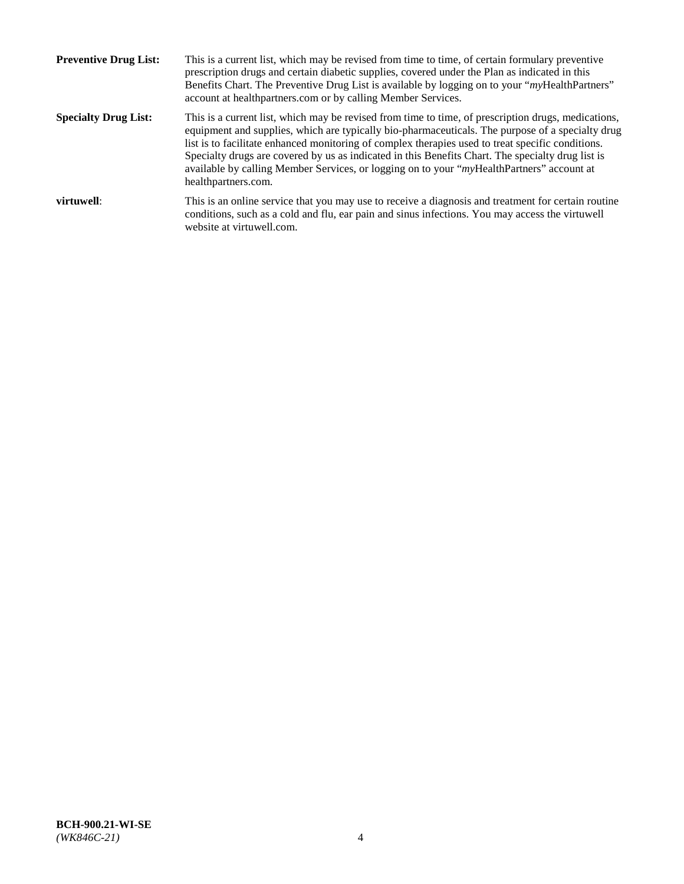| <b>Preventive Drug List:</b> | This is a current list, which may be revised from time to time, of certain formulary preventive<br>prescription drugs and certain diabetic supplies, covered under the Plan as indicated in this<br>Benefits Chart. The Preventive Drug List is available by logging on to your "myHealthPartners"<br>account at healthpartners.com or by calling Member Services.                                                                                                                                                                    |
|------------------------------|---------------------------------------------------------------------------------------------------------------------------------------------------------------------------------------------------------------------------------------------------------------------------------------------------------------------------------------------------------------------------------------------------------------------------------------------------------------------------------------------------------------------------------------|
| <b>Specialty Drug List:</b>  | This is a current list, which may be revised from time to time, of prescription drugs, medications,<br>equipment and supplies, which are typically bio-pharmaceuticals. The purpose of a specialty drug<br>list is to facilitate enhanced monitoring of complex therapies used to treat specific conditions.<br>Specialty drugs are covered by us as indicated in this Benefits Chart. The specialty drug list is<br>available by calling Member Services, or logging on to your "myHealthPartners" account at<br>healthpartners.com. |
| virtuwell:                   | This is an online service that you may use to receive a diagnosis and treatment for certain routine<br>conditions, such as a cold and flu, ear pain and sinus infections. You may access the virtuwell<br>website at virtuwell.com.                                                                                                                                                                                                                                                                                                   |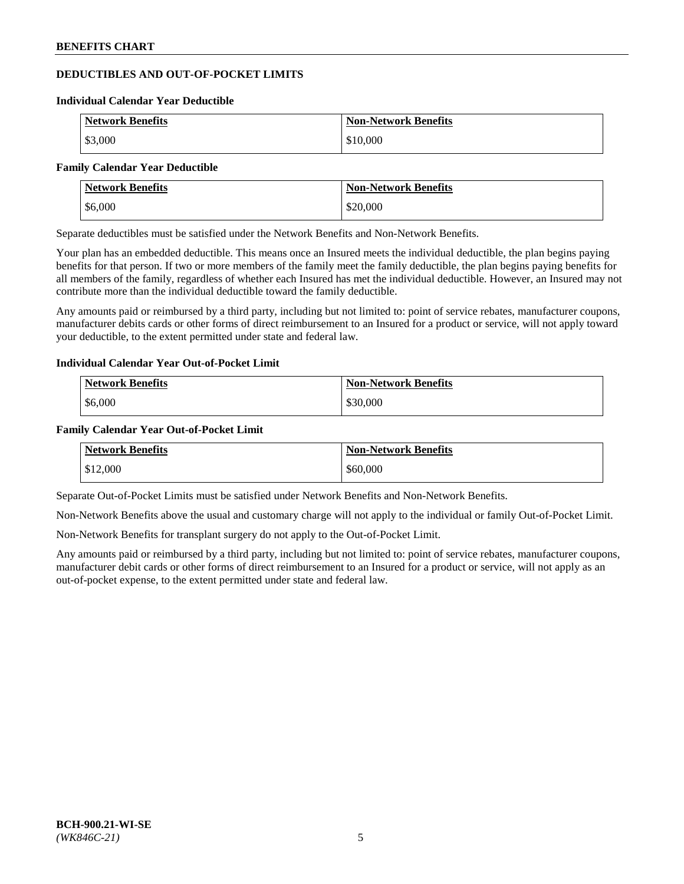# **DEDUCTIBLES AND OUT-OF-POCKET LIMITS**

#### **Individual Calendar Year Deductible**

| <b>Network Benefits</b> | <b>Non-Network Benefits</b> |
|-------------------------|-----------------------------|
| \$3,000                 | \$10,000                    |

#### **Family Calendar Year Deductible**

| <b>Network Benefits</b> | <b>Non-Network Benefits</b> |
|-------------------------|-----------------------------|
| \$6,000                 | \$20,000                    |

Separate deductibles must be satisfied under the Network Benefits and Non-Network Benefits.

Your plan has an embedded deductible. This means once an Insured meets the individual deductible, the plan begins paying benefits for that person. If two or more members of the family meet the family deductible, the plan begins paying benefits for all members of the family, regardless of whether each Insured has met the individual deductible. However, an Insured may not contribute more than the individual deductible toward the family deductible.

Any amounts paid or reimbursed by a third party, including but not limited to: point of service rebates, manufacturer coupons, manufacturer debits cards or other forms of direct reimbursement to an Insured for a product or service, will not apply toward your deductible, to the extent permitted under state and federal law.

#### **Individual Calendar Year Out-of-Pocket Limit**

| <b>Network Benefits</b> | <b>Non-Network Benefits</b> |
|-------------------------|-----------------------------|
| \$6,000                 | \$30,000                    |

#### **Family Calendar Year Out-of-Pocket Limit**

| <b>Network Benefits</b> | <b>Non-Network Benefits</b> |
|-------------------------|-----------------------------|
| \$12,000                | \$60,000                    |

Separate Out-of-Pocket Limits must be satisfied under Network Benefits and Non-Network Benefits.

Non-Network Benefits above the usual and customary charge will not apply to the individual or family Out-of-Pocket Limit.

Non-Network Benefits for transplant surgery do not apply to the Out-of-Pocket Limit.

Any amounts paid or reimbursed by a third party, including but not limited to: point of service rebates, manufacturer coupons, manufacturer debit cards or other forms of direct reimbursement to an Insured for a product or service, will not apply as an out-of-pocket expense, to the extent permitted under state and federal law.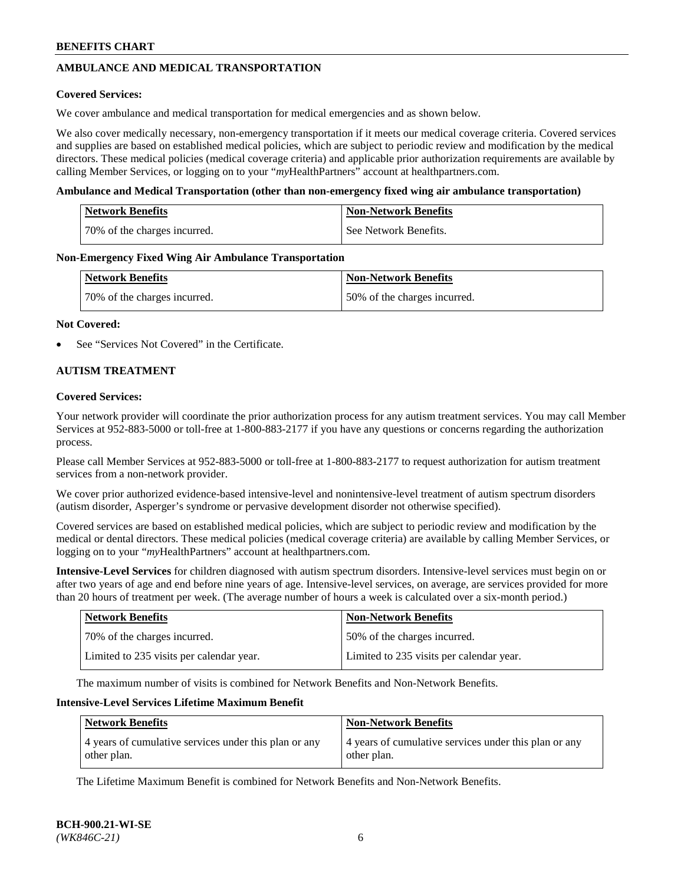# **AMBULANCE AND MEDICAL TRANSPORTATION**

### **Covered Services:**

We cover ambulance and medical transportation for medical emergencies and as shown below.

We also cover medically necessary, non-emergency transportation if it meets our medical coverage criteria. Covered services and supplies are based on established medical policies, which are subject to periodic review and modification by the medical directors. These medical policies (medical coverage criteria) and applicable prior authorization requirements are available by calling Member Services, or logging on to your "*my*HealthPartners" account a[t healthpartners.com.](https://www.healthpartners.com/hp/index.html)

### **Ambulance and Medical Transportation (other than non-emergency fixed wing air ambulance transportation)**

| <b>Network Benefits</b>      | <b>Non-Network Benefits</b> |
|------------------------------|-----------------------------|
| 70% of the charges incurred. | See Network Benefits.       |

### **Non-Emergency Fixed Wing Air Ambulance Transportation**

| <b>Network Benefits</b>      | <b>Non-Network Benefits</b>  |
|------------------------------|------------------------------|
| 70% of the charges incurred. | 50% of the charges incurred. |

### **Not Covered:**

See "Services Not Covered" in the Certificate.

## **AUTISM TREATMENT**

### **Covered Services:**

Your network provider will coordinate the prior authorization process for any autism treatment services. You may call Member Services at 952-883-5000 or toll-free at 1-800-883-2177 if you have any questions or concerns regarding the authorization process.

Please call Member Services at 952-883-5000 or toll-free at 1-800-883-2177 to request authorization for autism treatment services from a non-network provider.

We cover prior authorized evidence-based intensive-level and nonintensive-level treatment of autism spectrum disorders (autism disorder, Asperger's syndrome or pervasive development disorder not otherwise specified).

Covered services are based on established medical policies, which are subject to periodic review and modification by the medical or dental directors. These medical policies (medical coverage criteria) are available by calling Member Services, or logging on to your "*my*HealthPartners" account at [healthpartners.com.](https://www.healthpartners.com/hp/index.html)

**Intensive-Level Services** for children diagnosed with autism spectrum disorders. Intensive-level services must begin on or after two years of age and end before nine years of age. Intensive-level services, on average, are services provided for more than 20 hours of treatment per week. (The average number of hours a week is calculated over a six-month period.)

| Network Benefits                         | <b>Non-Network Benefits</b>              |
|------------------------------------------|------------------------------------------|
| 70% of the charges incurred.             | 50% of the charges incurred.             |
| Limited to 235 visits per calendar year. | Limited to 235 visits per calendar year. |

The maximum number of visits is combined for Network Benefits and Non-Network Benefits.

### **Intensive-Level Services Lifetime Maximum Benefit**

| <b>Network Benefits</b>                                              | <b>Non-Network Benefits</b>                                          |
|----------------------------------------------------------------------|----------------------------------------------------------------------|
| 4 years of cumulative services under this plan or any<br>other plan. | 4 years of cumulative services under this plan or any<br>other plan. |

The Lifetime Maximum Benefit is combined for Network Benefits and Non-Network Benefits.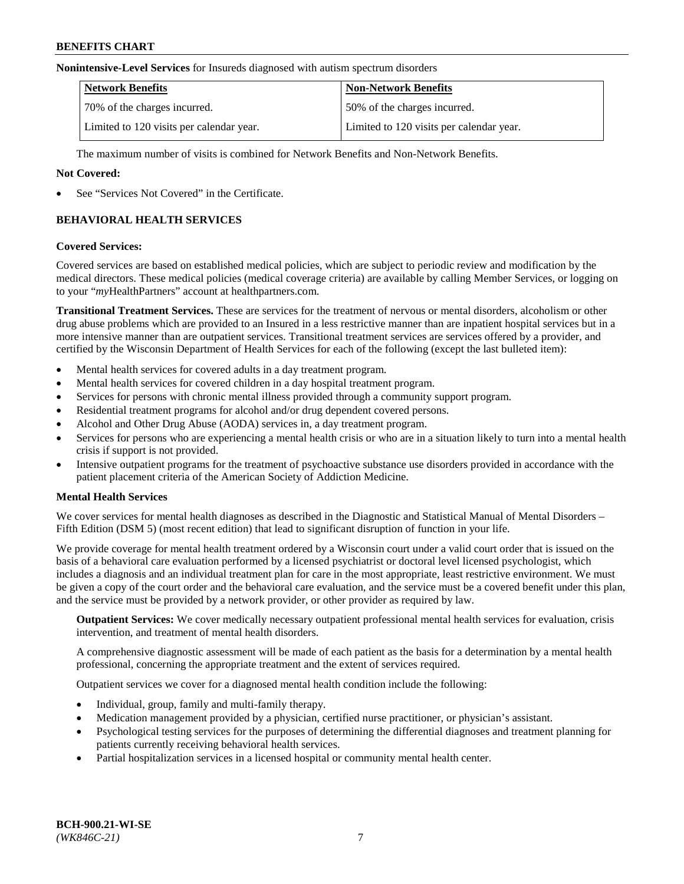#### **Nonintensive-Level Services** for Insureds diagnosed with autism spectrum disorders

| <b>Network Benefits</b>                  | <b>Non-Network Benefits</b>              |
|------------------------------------------|------------------------------------------|
| 70% of the charges incurred.             | 50% of the charges incurred.             |
| Limited to 120 visits per calendar year. | Limited to 120 visits per calendar year. |

The maximum number of visits is combined for Network Benefits and Non-Network Benefits.

### **Not Covered:**

See "Services Not Covered" in the Certificate.

# **BEHAVIORAL HEALTH SERVICES**

### **Covered Services:**

Covered services are based on established medical policies, which are subject to periodic review and modification by the medical directors. These medical policies (medical coverage criteria) are available by calling Member Services, or logging on to your "*my*HealthPartners" account at [healthpartners.com.](https://www.healthpartners.com/hp/index.html)

**Transitional Treatment Services.** These are services for the treatment of nervous or mental disorders, alcoholism or other drug abuse problems which are provided to an Insured in a less restrictive manner than are inpatient hospital services but in a more intensive manner than are outpatient services. Transitional treatment services are services offered by a provider, and certified by the Wisconsin Department of Health Services for each of the following (except the last bulleted item):

- Mental health services for covered adults in a day treatment program.
- Mental health services for covered children in a day hospital treatment program.
- Services for persons with chronic mental illness provided through a community support program.
- Residential treatment programs for alcohol and/or drug dependent covered persons.
- Alcohol and Other Drug Abuse (AODA) services in, a day treatment program.
- Services for persons who are experiencing a mental health crisis or who are in a situation likely to turn into a mental health crisis if support is not provided.
- Intensive outpatient programs for the treatment of psychoactive substance use disorders provided in accordance with the patient placement criteria of the American Society of Addiction Medicine.

## **Mental Health Services**

We cover services for mental health diagnoses as described in the Diagnostic and Statistical Manual of Mental Disorders – Fifth Edition (DSM 5) (most recent edition) that lead to significant disruption of function in your life.

We provide coverage for mental health treatment ordered by a Wisconsin court under a valid court order that is issued on the basis of a behavioral care evaluation performed by a licensed psychiatrist or doctoral level licensed psychologist, which includes a diagnosis and an individual treatment plan for care in the most appropriate, least restrictive environment. We must be given a copy of the court order and the behavioral care evaluation, and the service must be a covered benefit under this plan, and the service must be provided by a network provider, or other provider as required by law.

**Outpatient Services:** We cover medically necessary outpatient professional mental health services for evaluation, crisis intervention, and treatment of mental health disorders.

A comprehensive diagnostic assessment will be made of each patient as the basis for a determination by a mental health professional, concerning the appropriate treatment and the extent of services required.

Outpatient services we cover for a diagnosed mental health condition include the following:

- Individual, group, family and multi-family therapy.
- Medication management provided by a physician, certified nurse practitioner, or physician's assistant.
- Psychological testing services for the purposes of determining the differential diagnoses and treatment planning for patients currently receiving behavioral health services.
- Partial hospitalization services in a licensed hospital or community mental health center.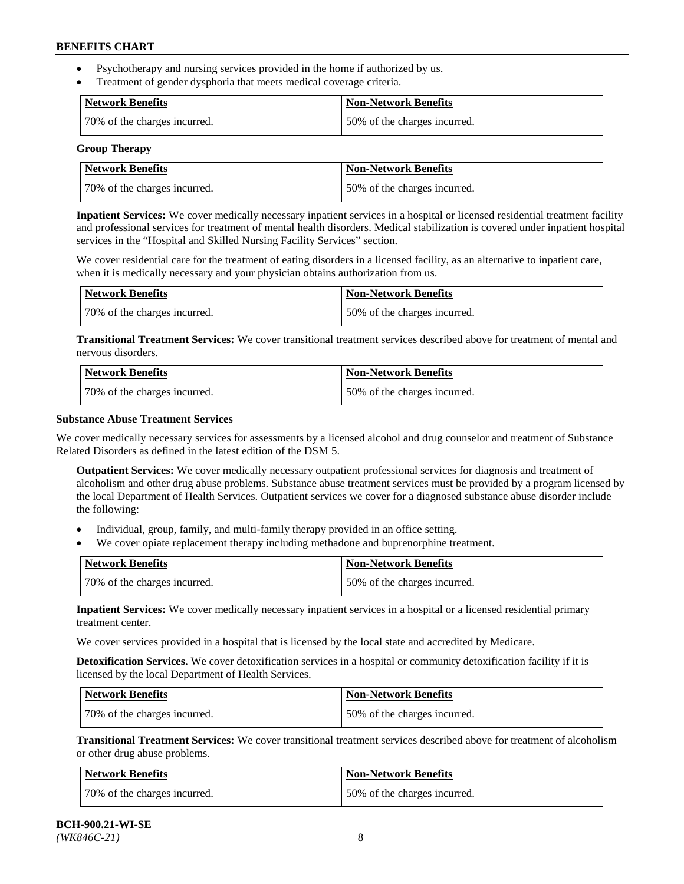- Psychotherapy and nursing services provided in the home if authorized by us.
- Treatment of gender dysphoria that meets medical coverage criteria.

| Network Benefits             | <b>Non-Network Benefits</b>  |
|------------------------------|------------------------------|
| 70% of the charges incurred. | 50% of the charges incurred. |

#### **Group Therapy**

| Network Benefits             | <b>Non-Network Benefits</b>  |
|------------------------------|------------------------------|
| 70% of the charges incurred. | 50% of the charges incurred. |

**Inpatient Services:** We cover medically necessary inpatient services in a hospital or licensed residential treatment facility and professional services for treatment of mental health disorders. Medical stabilization is covered under inpatient hospital services in the "Hospital and Skilled Nursing Facility Services" section.

We cover residential care for the treatment of eating disorders in a licensed facility, as an alternative to inpatient care, when it is medically necessary and your physician obtains authorization from us.

| Network Benefits             | <b>Non-Network Benefits</b>  |
|------------------------------|------------------------------|
| 70% of the charges incurred. | 50% of the charges incurred. |

**Transitional Treatment Services:** We cover transitional treatment services described above for treatment of mental and nervous disorders.

| Network Benefits             | Non-Network Benefits         |
|------------------------------|------------------------------|
| 70% of the charges incurred. | 50% of the charges incurred. |

### **Substance Abuse Treatment Services**

We cover medically necessary services for assessments by a licensed alcohol and drug counselor and treatment of Substance Related Disorders as defined in the latest edition of the DSM 5.

**Outpatient Services:** We cover medically necessary outpatient professional services for diagnosis and treatment of alcoholism and other drug abuse problems. Substance abuse treatment services must be provided by a program licensed by the local Department of Health Services. Outpatient services we cover for a diagnosed substance abuse disorder include the following:

- Individual, group, family, and multi-family therapy provided in an office setting.
- We cover opiate replacement therapy including methadone and buprenorphine treatment.

| <b>Network Benefits</b>      | <b>Non-Network Benefits</b>  |
|------------------------------|------------------------------|
| 70% of the charges incurred. | 50% of the charges incurred. |

**Inpatient Services:** We cover medically necessary inpatient services in a hospital or a licensed residential primary treatment center.

We cover services provided in a hospital that is licensed by the local state and accredited by Medicare.

**Detoxification Services.** We cover detoxification services in a hospital or community detoxification facility if it is licensed by the local Department of Health Services.

| Network Benefits             | <b>Non-Network Benefits</b>  |
|------------------------------|------------------------------|
| 70% of the charges incurred. | 50% of the charges incurred. |

**Transitional Treatment Services:** We cover transitional treatment services described above for treatment of alcoholism or other drug abuse problems.

| <b>Network Benefits</b>      | <b>Non-Network Benefits</b>  |
|------------------------------|------------------------------|
| 70% of the charges incurred. | 50% of the charges incurred. |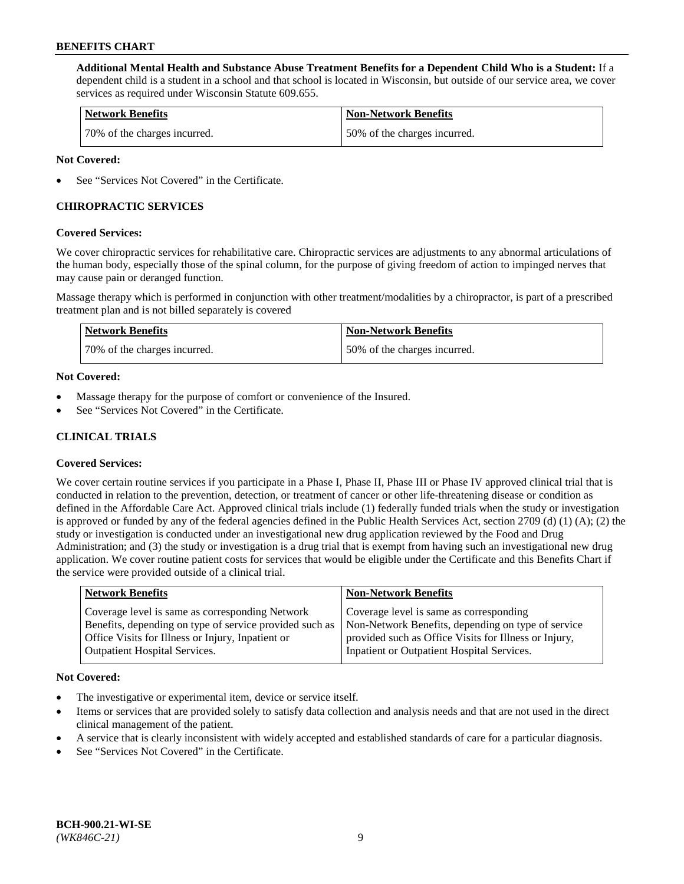**Additional Mental Health and Substance Abuse Treatment Benefits for a Dependent Child Who is a Student:** If a dependent child is a student in a school and that school is located in Wisconsin, but outside of our service area, we cover services as required under Wisconsin Statute 609.655.

| <b>Network Benefits</b>      | <b>Non-Network Benefits</b>  |
|------------------------------|------------------------------|
| 70% of the charges incurred. | 50% of the charges incurred. |

### **Not Covered:**

See "Services Not Covered" in the Certificate.

# **CHIROPRACTIC SERVICES**

### **Covered Services:**

We cover chiropractic services for rehabilitative care. Chiropractic services are adjustments to any abnormal articulations of the human body, especially those of the spinal column, for the purpose of giving freedom of action to impinged nerves that may cause pain or deranged function.

Massage therapy which is performed in conjunction with other treatment/modalities by a chiropractor, is part of a prescribed treatment plan and is not billed separately is covered

| Network Benefits             | <b>Non-Network Benefits</b>  |
|------------------------------|------------------------------|
| 70% of the charges incurred. | 50% of the charges incurred. |

### **Not Covered:**

- Massage therapy for the purpose of comfort or convenience of the Insured.
- See "Services Not Covered" in the Certificate.

# **CLINICAL TRIALS**

## **Covered Services:**

We cover certain routine services if you participate in a Phase I, Phase II, Phase III or Phase IV approved clinical trial that is conducted in relation to the prevention, detection, or treatment of cancer or other life-threatening disease or condition as defined in the Affordable Care Act. Approved clinical trials include (1) federally funded trials when the study or investigation is approved or funded by any of the federal agencies defined in the Public Health Services Act, section 2709 (d) (1) (A); (2) the study or investigation is conducted under an investigational new drug application reviewed by the Food and Drug Administration; and (3) the study or investigation is a drug trial that is exempt from having such an investigational new drug application. We cover routine patient costs for services that would be eligible under the Certificate and this Benefits Chart if the service were provided outside of a clinical trial.

| <b>Network Benefits</b>                                                                                                                                                                                 | <b>Non-Network Benefits</b>                                                                                                                                                                          |
|---------------------------------------------------------------------------------------------------------------------------------------------------------------------------------------------------------|------------------------------------------------------------------------------------------------------------------------------------------------------------------------------------------------------|
| Coverage level is same as corresponding Network<br>Benefits, depending on type of service provided such as<br>Office Visits for Illness or Injury, Inpatient or<br><b>Outpatient Hospital Services.</b> | Coverage level is same as corresponding<br>Non-Network Benefits, depending on type of service<br>provided such as Office Visits for Illness or Injury,<br>Inpatient or Outpatient Hospital Services. |
|                                                                                                                                                                                                         |                                                                                                                                                                                                      |

#### **Not Covered:**

- The investigative or experimental item, device or service itself.
- Items or services that are provided solely to satisfy data collection and analysis needs and that are not used in the direct clinical management of the patient.
- A service that is clearly inconsistent with widely accepted and established standards of care for a particular diagnosis.
- See "Services Not Covered" in the Certificate.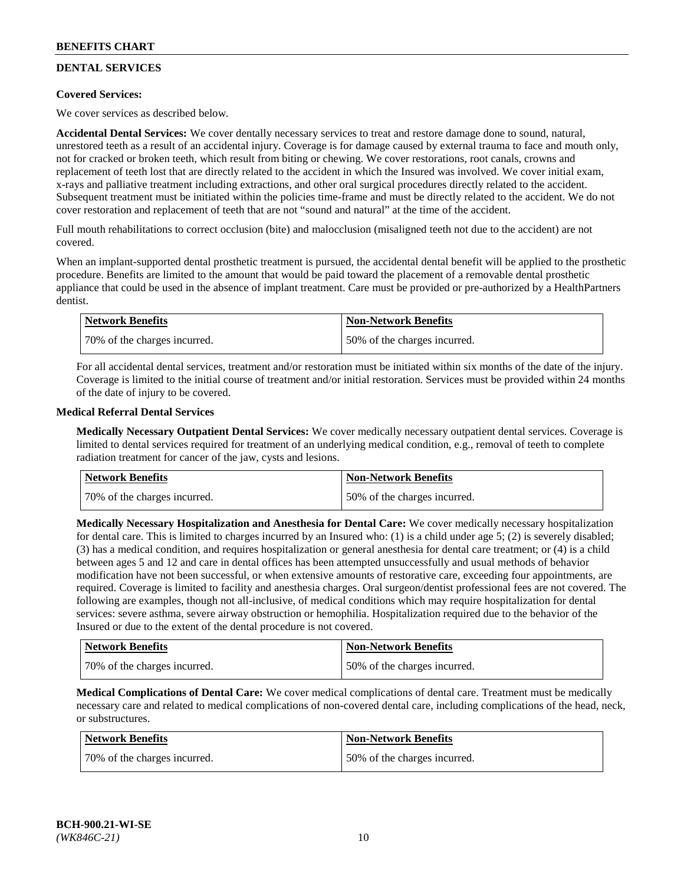# **DENTAL SERVICES**

## **Covered Services:**

We cover services as described below.

**Accidental Dental Services:** We cover dentally necessary services to treat and restore damage done to sound, natural, unrestored teeth as a result of an accidental injury. Coverage is for damage caused by external trauma to face and mouth only, not for cracked or broken teeth, which result from biting or chewing. We cover restorations, root canals, crowns and replacement of teeth lost that are directly related to the accident in which the Insured was involved. We cover initial exam, x-rays and palliative treatment including extractions, and other oral surgical procedures directly related to the accident. Subsequent treatment must be initiated within the policies time-frame and must be directly related to the accident. We do not cover restoration and replacement of teeth that are not "sound and natural" at the time of the accident.

Full mouth rehabilitations to correct occlusion (bite) and malocclusion (misaligned teeth not due to the accident) are not covered.

When an implant-supported dental prosthetic treatment is pursued, the accidental dental benefit will be applied to the prosthetic procedure. Benefits are limited to the amount that would be paid toward the placement of a removable dental prosthetic appliance that could be used in the absence of implant treatment. Care must be provided or pre-authorized by a HealthPartners dentist.

| Network Benefits             | <b>Non-Network Benefits</b>  |
|------------------------------|------------------------------|
| 70% of the charges incurred. | 50% of the charges incurred. |

For all accidental dental services, treatment and/or restoration must be initiated within six months of the date of the injury. Coverage is limited to the initial course of treatment and/or initial restoration. Services must be provided within 24 months of the date of injury to be covered.

### **Medical Referral Dental Services**

**Medically Necessary Outpatient Dental Services:** We cover medically necessary outpatient dental services. Coverage is limited to dental services required for treatment of an underlying medical condition, e.g., removal of teeth to complete radiation treatment for cancer of the jaw, cysts and lesions.

| <b>Network Benefits</b>      | <b>Non-Network Benefits</b>  |
|------------------------------|------------------------------|
| 70% of the charges incurred. | 50% of the charges incurred. |

**Medically Necessary Hospitalization and Anesthesia for Dental Care:** We cover medically necessary hospitalization for dental care. This is limited to charges incurred by an Insured who: (1) is a child under age  $5$ ; (2) is severely disabled; (3) has a medical condition, and requires hospitalization or general anesthesia for dental care treatment; or (4) is a child between ages 5 and 12 and care in dental offices has been attempted unsuccessfully and usual methods of behavior modification have not been successful, or when extensive amounts of restorative care, exceeding four appointments, are required. Coverage is limited to facility and anesthesia charges. Oral surgeon/dentist professional fees are not covered. The following are examples, though not all-inclusive, of medical conditions which may require hospitalization for dental services: severe asthma, severe airway obstruction or hemophilia. Hospitalization required due to the behavior of the Insured or due to the extent of the dental procedure is not covered.

| Network Benefits             | <b>Non-Network Benefits</b>  |
|------------------------------|------------------------------|
| 70% of the charges incurred. | 50% of the charges incurred. |

**Medical Complications of Dental Care:** We cover medical complications of dental care. Treatment must be medically necessary care and related to medical complications of non-covered dental care, including complications of the head, neck, or substructures.

| Network Benefits             | Non-Network Benefits         |
|------------------------------|------------------------------|
| 70% of the charges incurred. | 50% of the charges incurred. |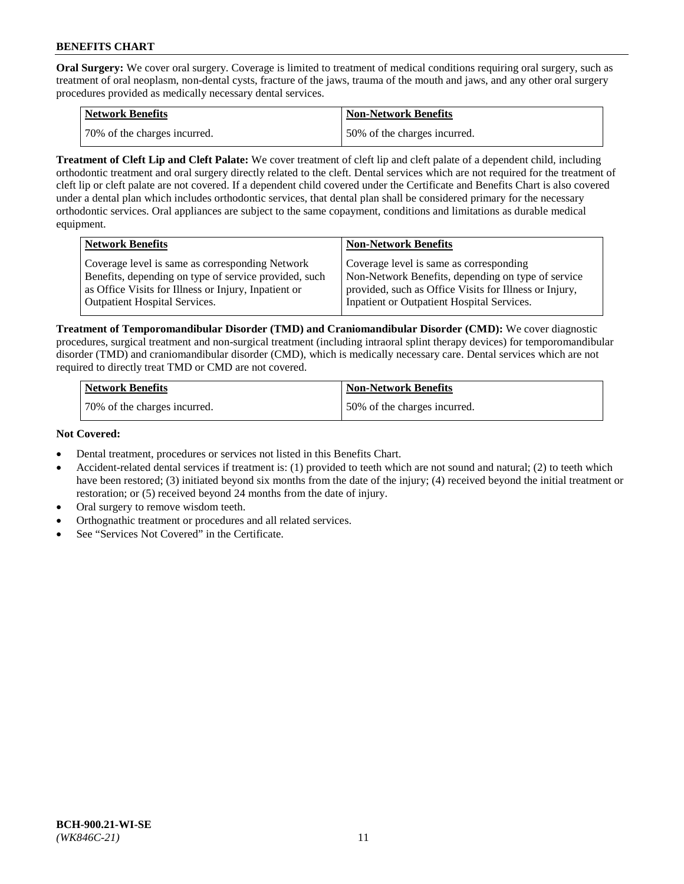**Oral Surgery:** We cover oral surgery. Coverage is limited to treatment of medical conditions requiring oral surgery, such as treatment of oral neoplasm, non-dental cysts, fracture of the jaws, trauma of the mouth and jaws, and any other oral surgery procedures provided as medically necessary dental services.

| <b>Network Benefits</b>       | <b>Non-Network Benefits</b>  |
|-------------------------------|------------------------------|
| 170% of the charges incurred. | 50% of the charges incurred. |

**Treatment of Cleft Lip and Cleft Palate:** We cover treatment of cleft lip and cleft palate of a dependent child, including orthodontic treatment and oral surgery directly related to the cleft. Dental services which are not required for the treatment of cleft lip or cleft palate are not covered. If a dependent child covered under the Certificate and Benefits Chart is also covered under a dental plan which includes orthodontic services, that dental plan shall be considered primary for the necessary orthodontic services. Oral appliances are subject to the same copayment, conditions and limitations as durable medical equipment.

| <b>Network Benefits</b>                               | <b>Non-Network Benefits</b>                            |
|-------------------------------------------------------|--------------------------------------------------------|
| Coverage level is same as corresponding Network       | Coverage level is same as corresponding                |
| Benefits, depending on type of service provided, such | Non-Network Benefits, depending on type of service     |
| as Office Visits for Illness or Injury, Inpatient or  | provided, such as Office Visits for Illness or Injury, |
| Outpatient Hospital Services.                         | Inpatient or Outpatient Hospital Services.             |

**Treatment of Temporomandibular Disorder (TMD) and Craniomandibular Disorder (CMD):** We cover diagnostic procedures, surgical treatment and non-surgical treatment (including intraoral splint therapy devices) for temporomandibular disorder (TMD) and craniomandibular disorder (CMD), which is medically necessary care. Dental services which are not required to directly treat TMD or CMD are not covered.

| <b>Network Benefits</b>      | <b>Non-Network Benefits</b>  |
|------------------------------|------------------------------|
| 70% of the charges incurred. | 50% of the charges incurred. |

### **Not Covered:**

- Dental treatment, procedures or services not listed in this Benefits Chart.
- Accident-related dental services if treatment is: (1) provided to teeth which are not sound and natural; (2) to teeth which have been restored; (3) initiated beyond six months from the date of the injury; (4) received beyond the initial treatment or restoration; or (5) received beyond 24 months from the date of injury.
- Oral surgery to remove wisdom teeth.
- Orthognathic treatment or procedures and all related services.
- See "Services Not Covered" in the Certificate.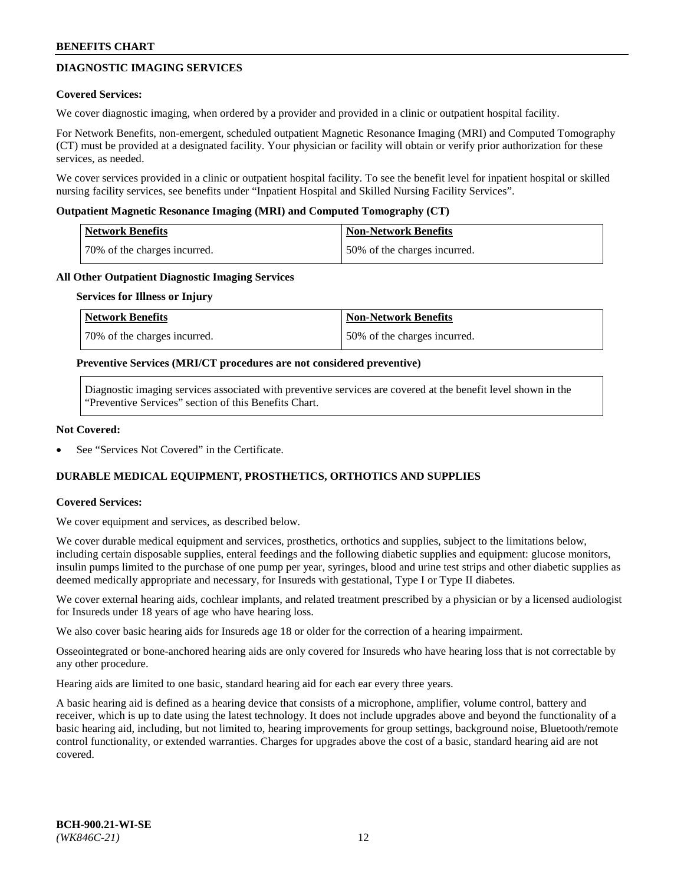# **DIAGNOSTIC IMAGING SERVICES**

### **Covered Services:**

We cover diagnostic imaging, when ordered by a provider and provided in a clinic or outpatient hospital facility.

For Network Benefits, non-emergent, scheduled outpatient Magnetic Resonance Imaging (MRI) and Computed Tomography (CT) must be provided at a designated facility. Your physician or facility will obtain or verify prior authorization for these services, as needed.

We cover services provided in a clinic or outpatient hospital facility. To see the benefit level for inpatient hospital or skilled nursing facility services, see benefits under "Inpatient Hospital and Skilled Nursing Facility Services".

### **Outpatient Magnetic Resonance Imaging (MRI) and Computed Tomography (CT)**

| <b>Network Benefits</b>      | <b>Non-Network Benefits</b>  |
|------------------------------|------------------------------|
| 70% of the charges incurred. | 50% of the charges incurred. |

### **All Other Outpatient Diagnostic Imaging Services**

#### **Services for Illness or Injury**

| Network Benefits             | <b>Non-Network Benefits</b>  |
|------------------------------|------------------------------|
| 70% of the charges incurred. | 50% of the charges incurred. |

### **Preventive Services (MRI/CT procedures are not considered preventive)**

Diagnostic imaging services associated with preventive services are covered at the benefit level shown in the "Preventive Services" section of this Benefits Chart.

### **Not Covered:**

See "Services Not Covered" in the Certificate.

# **DURABLE MEDICAL EQUIPMENT, PROSTHETICS, ORTHOTICS AND SUPPLIES**

#### **Covered Services:**

We cover equipment and services, as described below.

We cover durable medical equipment and services, prosthetics, orthotics and supplies, subject to the limitations below, including certain disposable supplies, enteral feedings and the following diabetic supplies and equipment: glucose monitors, insulin pumps limited to the purchase of one pump per year, syringes, blood and urine test strips and other diabetic supplies as deemed medically appropriate and necessary, for Insureds with gestational, Type I or Type II diabetes.

We cover external hearing aids, cochlear implants, and related treatment prescribed by a physician or by a licensed audiologist for Insureds under 18 years of age who have hearing loss.

We also cover basic hearing aids for Insureds age 18 or older for the correction of a hearing impairment.

Osseointegrated or bone-anchored hearing aids are only covered for Insureds who have hearing loss that is not correctable by any other procedure.

Hearing aids are limited to one basic, standard hearing aid for each ear every three years.

A basic hearing aid is defined as a hearing device that consists of a microphone, amplifier, volume control, battery and receiver, which is up to date using the latest technology. It does not include upgrades above and beyond the functionality of a basic hearing aid, including, but not limited to, hearing improvements for group settings, background noise, Bluetooth/remote control functionality, or extended warranties. Charges for upgrades above the cost of a basic, standard hearing aid are not covered.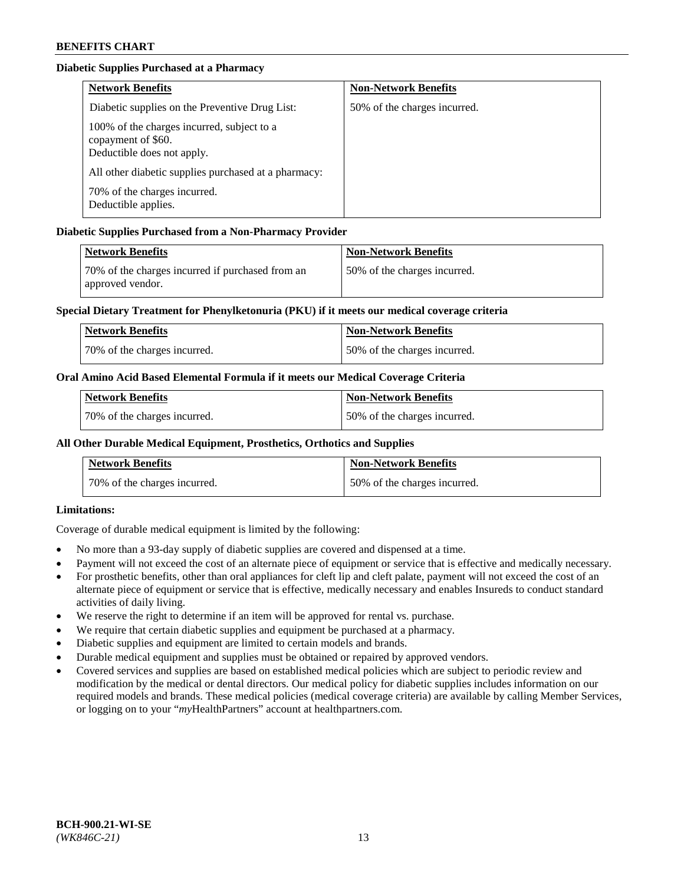# **Diabetic Supplies Purchased at a Pharmacy**

| <b>Network Benefits</b>                                                                        | <b>Non-Network Benefits</b>  |
|------------------------------------------------------------------------------------------------|------------------------------|
| Diabetic supplies on the Preventive Drug List:                                                 | 50% of the charges incurred. |
| 100% of the charges incurred, subject to a<br>copayment of \$60.<br>Deductible does not apply. |                              |
| All other diabetic supplies purchased at a pharmacy:                                           |                              |
| 70% of the charges incurred.<br>Deductible applies.                                            |                              |

# **Diabetic Supplies Purchased from a Non-Pharmacy Provider**

| Network Benefits                                                     | <b>Non-Network Benefits</b>  |
|----------------------------------------------------------------------|------------------------------|
| 70% of the charges incurred if purchased from an<br>approved vendor. | 50% of the charges incurred. |

## **Special Dietary Treatment for Phenylketonuria (PKU) if it meets our medical coverage criteria**

| <b>Network Benefits</b>      | <b>Non-Network Benefits</b>  |
|------------------------------|------------------------------|
| 70% of the charges incurred. | 50% of the charges incurred. |

## **Oral Amino Acid Based Elemental Formula if it meets our Medical Coverage Criteria**

| <b>Network Benefits</b>      | <b>Non-Network Benefits</b>  |
|------------------------------|------------------------------|
| 70% of the charges incurred. | 50% of the charges incurred. |

# **All Other Durable Medical Equipment, Prosthetics, Orthotics and Supplies**

| <b>Network Benefits</b>      | <b>Non-Network Benefits</b>  |
|------------------------------|------------------------------|
| 70% of the charges incurred. | 50% of the charges incurred. |

## **Limitations:**

Coverage of durable medical equipment is limited by the following:

- No more than a 93-day supply of diabetic supplies are covered and dispensed at a time.
- Payment will not exceed the cost of an alternate piece of equipment or service that is effective and medically necessary.
- For prosthetic benefits, other than oral appliances for cleft lip and cleft palate, payment will not exceed the cost of an alternate piece of equipment or service that is effective, medically necessary and enables Insureds to conduct standard activities of daily living.
- We reserve the right to determine if an item will be approved for rental vs. purchase.
- We require that certain diabetic supplies and equipment be purchased at a pharmacy.
- Diabetic supplies and equipment are limited to certain models and brands.
- Durable medical equipment and supplies must be obtained or repaired by approved vendors.
- Covered services and supplies are based on established medical policies which are subject to periodic review and modification by the medical or dental directors. Our medical policy for diabetic supplies includes information on our required models and brands. These medical policies (medical coverage criteria) are available by calling Member Services, or logging on to your "*my*HealthPartners" account a[t healthpartners.com.](https://www.healthpartners.com/hp/index.html)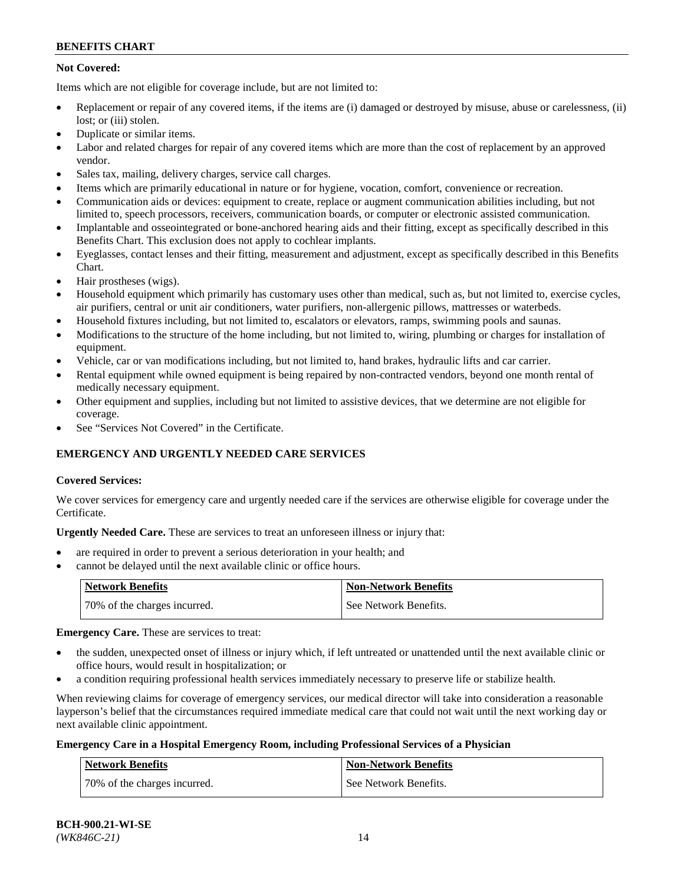# **Not Covered:**

Items which are not eligible for coverage include, but are not limited to:

- Replacement or repair of any covered items, if the items are (i) damaged or destroyed by misuse, abuse or carelessness, (ii) lost; or (iii) stolen.
- Duplicate or similar items.
- Labor and related charges for repair of any covered items which are more than the cost of replacement by an approved vendor.
- Sales tax, mailing, delivery charges, service call charges.
- Items which are primarily educational in nature or for hygiene, vocation, comfort, convenience or recreation.
- Communication aids or devices: equipment to create, replace or augment communication abilities including, but not limited to, speech processors, receivers, communication boards, or computer or electronic assisted communication.
- Implantable and osseointegrated or bone-anchored hearing aids and their fitting, except as specifically described in this Benefits Chart. This exclusion does not apply to cochlear implants.
- Eyeglasses, contact lenses and their fitting, measurement and adjustment, except as specifically described in this Benefits Chart.
- Hair prostheses (wigs).
- Household equipment which primarily has customary uses other than medical, such as, but not limited to, exercise cycles, air purifiers, central or unit air conditioners, water purifiers, non-allergenic pillows, mattresses or waterbeds.
- Household fixtures including, but not limited to, escalators or elevators, ramps, swimming pools and saunas.
- Modifications to the structure of the home including, but not limited to, wiring, plumbing or charges for installation of equipment.
- Vehicle, car or van modifications including, but not limited to, hand brakes, hydraulic lifts and car carrier.
- Rental equipment while owned equipment is being repaired by non-contracted vendors, beyond one month rental of medically necessary equipment.
- Other equipment and supplies, including but not limited to assistive devices, that we determine are not eligible for coverage.
- See "Services Not Covered" in the Certificate.

# **EMERGENCY AND URGENTLY NEEDED CARE SERVICES**

## **Covered Services:**

We cover services for emergency care and urgently needed care if the services are otherwise eligible for coverage under the Certificate.

**Urgently Needed Care.** These are services to treat an unforeseen illness or injury that:

- are required in order to prevent a serious deterioration in your health; and
- cannot be delayed until the next available clinic or office hours.

| <b>Network Benefits</b>      | <b>Non-Network Benefits</b> |
|------------------------------|-----------------------------|
| 70% of the charges incurred. | l See Network Benefits.     |

**Emergency Care.** These are services to treat:

- the sudden, unexpected onset of illness or injury which, if left untreated or unattended until the next available clinic or office hours, would result in hospitalization; or
- a condition requiring professional health services immediately necessary to preserve life or stabilize health.

When reviewing claims for coverage of emergency services, our medical director will take into consideration a reasonable layperson's belief that the circumstances required immediate medical care that could not wait until the next working day or next available clinic appointment.

## **Emergency Care in a Hospital Emergency Room, including Professional Services of a Physician**

| <b>Network Benefits</b>      | <b>Non-Network Benefits</b> |
|------------------------------|-----------------------------|
| 70% of the charges incurred. | See Network Benefits.       |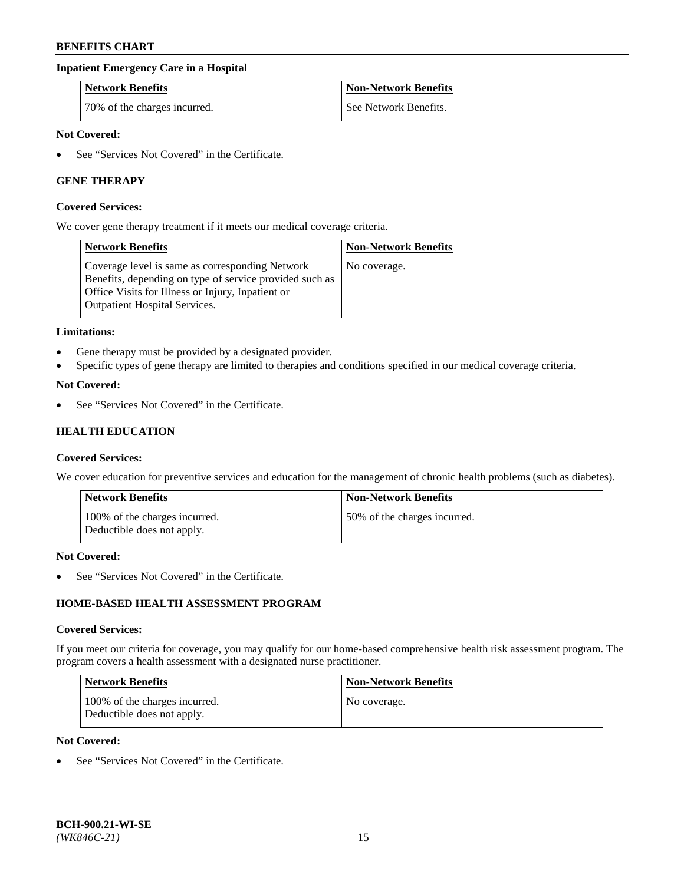## **Inpatient Emergency Care in a Hospital**

| <b>Network Benefits</b>      | <b>Non-Network Benefits</b> |
|------------------------------|-----------------------------|
| 70% of the charges incurred. | See Network Benefits.       |

# **Not Covered:**

See "Services Not Covered" in the Certificate.

## **GENE THERAPY**

#### **Covered Services:**

We cover gene therapy treatment if it meets our medical coverage criteria.

| <b>Network Benefits</b>                                                                                                                                                                          | <b>Non-Network Benefits</b> |
|--------------------------------------------------------------------------------------------------------------------------------------------------------------------------------------------------|-----------------------------|
| Coverage level is same as corresponding Network<br>Benefits, depending on type of service provided such as<br>Office Visits for Illness or Injury, Inpatient or<br>Outpatient Hospital Services. | No coverage.                |

#### **Limitations:**

- Gene therapy must be provided by a designated provider.
- Specific types of gene therapy are limited to therapies and conditions specified in our medical coverage criteria.

#### **Not Covered:**

See "Services Not Covered" in the Certificate.

# **HEALTH EDUCATION**

#### **Covered Services:**

We cover education for preventive services and education for the management of chronic health problems (such as diabetes).

| Network Benefits                                            | <b>Non-Network Benefits</b>  |
|-------------------------------------------------------------|------------------------------|
| 100% of the charges incurred.<br>Deductible does not apply. | 50% of the charges incurred. |

#### **Not Covered:**

See "Services Not Covered" in the Certificate.

# **HOME-BASED HEALTH ASSESSMENT PROGRAM**

#### **Covered Services:**

If you meet our criteria for coverage, you may qualify for our home-based comprehensive health risk assessment program. The program covers a health assessment with a designated nurse practitioner.

| Network Benefits                                            | <b>Non-Network Benefits</b> |
|-------------------------------------------------------------|-----------------------------|
| 100% of the charges incurred.<br>Deductible does not apply. | No coverage.                |

# **Not Covered:**

• See "Services Not Covered" in the Certificate.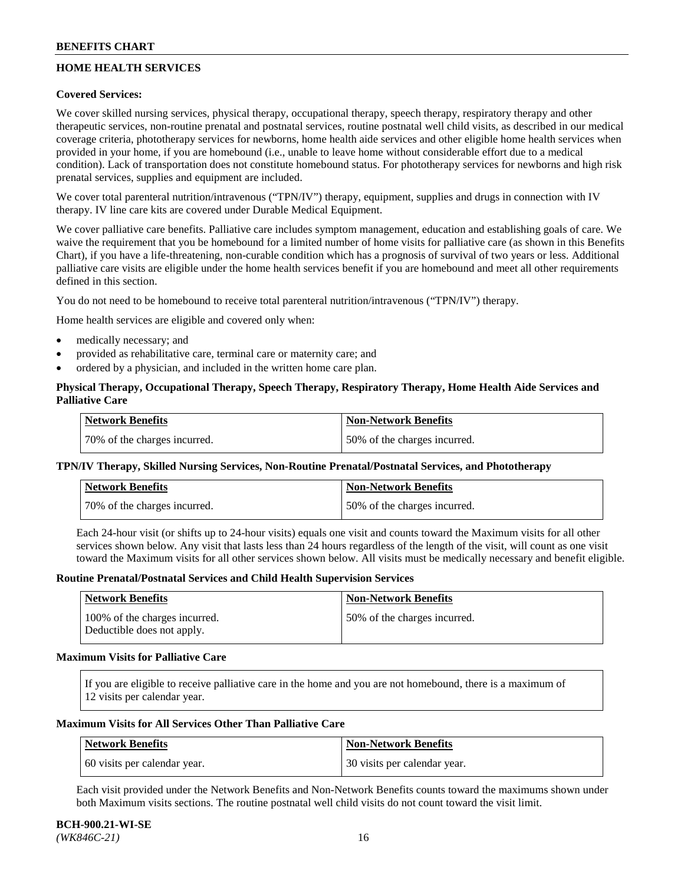# **HOME HEALTH SERVICES**

## **Covered Services:**

We cover skilled nursing services, physical therapy, occupational therapy, speech therapy, respiratory therapy and other therapeutic services, non-routine prenatal and postnatal services, routine postnatal well child visits, as described in our medical coverage criteria, phototherapy services for newborns, home health aide services and other eligible home health services when provided in your home, if you are homebound (i.e., unable to leave home without considerable effort due to a medical condition). Lack of transportation does not constitute homebound status. For phototherapy services for newborns and high risk prenatal services, supplies and equipment are included.

We cover total parenteral nutrition/intravenous ("TPN/IV") therapy, equipment, supplies and drugs in connection with IV therapy. IV line care kits are covered under Durable Medical Equipment.

We cover palliative care benefits. Palliative care includes symptom management, education and establishing goals of care. We waive the requirement that you be homebound for a limited number of home visits for palliative care (as shown in this Benefits Chart), if you have a life-threatening, non-curable condition which has a prognosis of survival of two years or less. Additional palliative care visits are eligible under the home health services benefit if you are homebound and meet all other requirements defined in this section.

You do not need to be homebound to receive total parenteral nutrition/intravenous ("TPN/IV") therapy.

Home health services are eligible and covered only when:

- medically necessary; and
- provided as rehabilitative care, terminal care or maternity care; and
- ordered by a physician, and included in the written home care plan.

# **Physical Therapy, Occupational Therapy, Speech Therapy, Respiratory Therapy, Home Health Aide Services and Palliative Care**

| Network Benefits             | <b>Non-Network Benefits</b>  |
|------------------------------|------------------------------|
| 70% of the charges incurred. | 50% of the charges incurred. |

## **TPN/IV Therapy, Skilled Nursing Services, Non-Routine Prenatal/Postnatal Services, and Phototherapy**

| Network Benefits             | <b>Non-Network Benefits</b>  |
|------------------------------|------------------------------|
| 70% of the charges incurred. | 50% of the charges incurred. |

Each 24-hour visit (or shifts up to 24-hour visits) equals one visit and counts toward the Maximum visits for all other services shown below. Any visit that lasts less than 24 hours regardless of the length of the visit, will count as one visit toward the Maximum visits for all other services shown below. All visits must be medically necessary and benefit eligible.

#### **Routine Prenatal/Postnatal Services and Child Health Supervision Services**

| Network Benefits                                            | <b>Non-Network Benefits</b>  |
|-------------------------------------------------------------|------------------------------|
| 100% of the charges incurred.<br>Deductible does not apply. | 50% of the charges incurred. |

### **Maximum Visits for Palliative Care**

If you are eligible to receive palliative care in the home and you are not homebound, there is a maximum of 12 visits per calendar year.

### **Maximum Visits for All Services Other Than Palliative Care**

| Network Benefits             | Non-Network Benefits         |
|------------------------------|------------------------------|
| 60 visits per calendar year. | 30 visits per calendar year. |

Each visit provided under the Network Benefits and Non-Network Benefits counts toward the maximums shown under both Maximum visits sections. The routine postnatal well child visits do not count toward the visit limit.

#### **BCH-900.21-WI-SE**  *(WK846C-21)* 16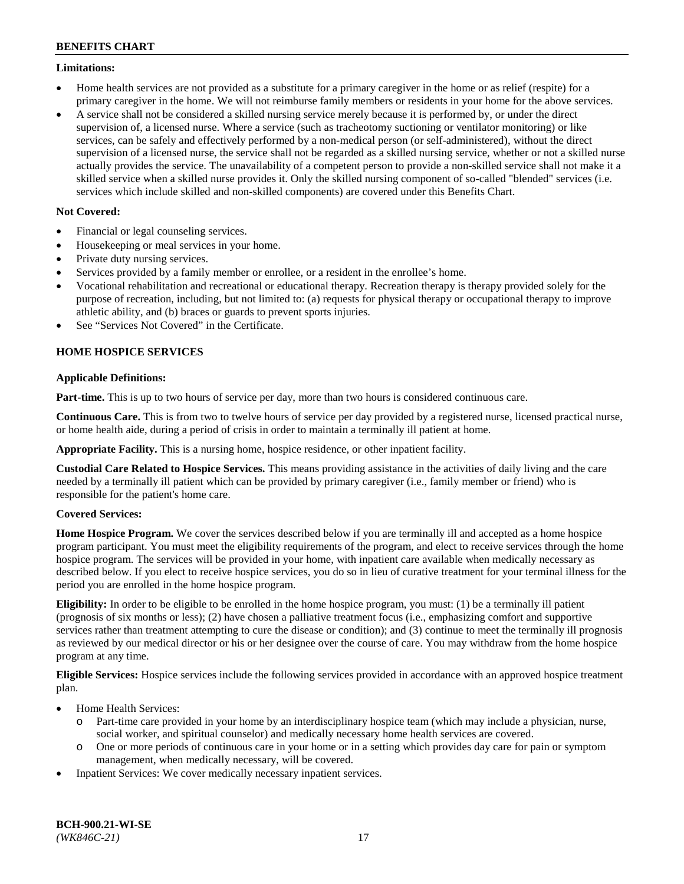### **Limitations:**

- Home health services are not provided as a substitute for a primary caregiver in the home or as relief (respite) for a primary caregiver in the home. We will not reimburse family members or residents in your home for the above services.
- A service shall not be considered a skilled nursing service merely because it is performed by, or under the direct supervision of, a licensed nurse. Where a service (such as tracheotomy suctioning or ventilator monitoring) or like services, can be safely and effectively performed by a non-medical person (or self-administered), without the direct supervision of a licensed nurse, the service shall not be regarded as a skilled nursing service, whether or not a skilled nurse actually provides the service. The unavailability of a competent person to provide a non-skilled service shall not make it a skilled service when a skilled nurse provides it. Only the skilled nursing component of so-called "blended" services (i.e. services which include skilled and non-skilled components) are covered under this Benefits Chart.

# **Not Covered:**

- Financial or legal counseling services.
- Housekeeping or meal services in your home.
- Private duty nursing services.
- Services provided by a family member or enrollee, or a resident in the enrollee's home.
- Vocational rehabilitation and recreational or educational therapy. Recreation therapy is therapy provided solely for the purpose of recreation, including, but not limited to: (a) requests for physical therapy or occupational therapy to improve athletic ability, and (b) braces or guards to prevent sports injuries.
- See "Services Not Covered" in the Certificate.

# **HOME HOSPICE SERVICES**

## **Applicable Definitions:**

**Part-time.** This is up to two hours of service per day, more than two hours is considered continuous care.

**Continuous Care.** This is from two to twelve hours of service per day provided by a registered nurse, licensed practical nurse, or home health aide, during a period of crisis in order to maintain a terminally ill patient at home.

**Appropriate Facility.** This is a nursing home, hospice residence, or other inpatient facility.

**Custodial Care Related to Hospice Services.** This means providing assistance in the activities of daily living and the care needed by a terminally ill patient which can be provided by primary caregiver (i.e., family member or friend) who is responsible for the patient's home care.

## **Covered Services:**

**Home Hospice Program.** We cover the services described below if you are terminally ill and accepted as a home hospice program participant. You must meet the eligibility requirements of the program, and elect to receive services through the home hospice program. The services will be provided in your home, with inpatient care available when medically necessary as described below. If you elect to receive hospice services, you do so in lieu of curative treatment for your terminal illness for the period you are enrolled in the home hospice program.

**Eligibility:** In order to be eligible to be enrolled in the home hospice program, you must: (1) be a terminally ill patient (prognosis of six months or less); (2) have chosen a palliative treatment focus (i.e., emphasizing comfort and supportive services rather than treatment attempting to cure the disease or condition); and (3) continue to meet the terminally ill prognosis as reviewed by our medical director or his or her designee over the course of care. You may withdraw from the home hospice program at any time.

**Eligible Services:** Hospice services include the following services provided in accordance with an approved hospice treatment plan.

- Home Health Services:
	- o Part-time care provided in your home by an interdisciplinary hospice team (which may include a physician, nurse, social worker, and spiritual counselor) and medically necessary home health services are covered.
	- o One or more periods of continuous care in your home or in a setting which provides day care for pain or symptom management, when medically necessary, will be covered.
- Inpatient Services: We cover medically necessary inpatient services.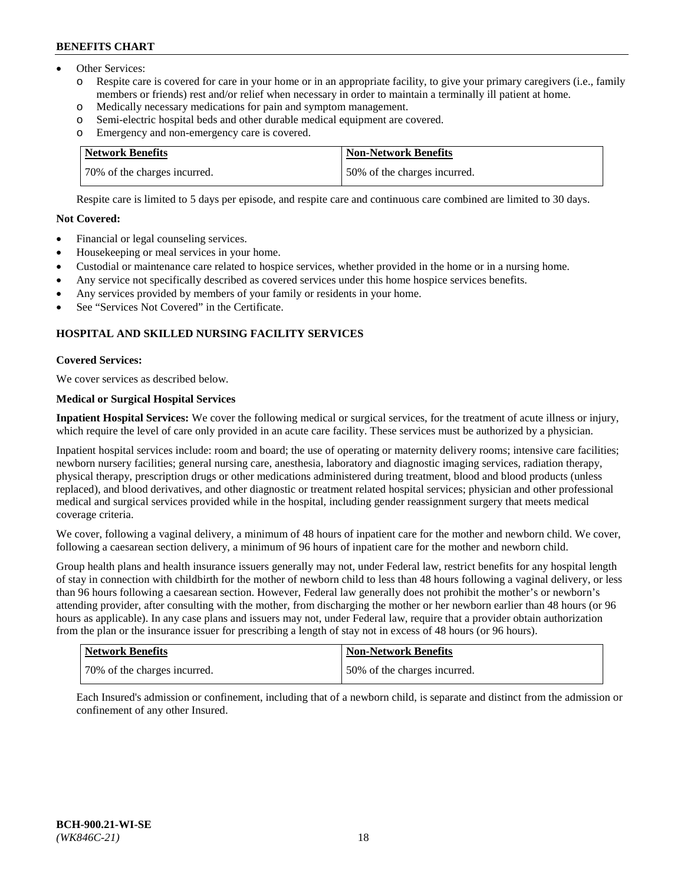- Other Services:
	- Respite care is covered for care in your home or in an appropriate facility, to give your primary caregivers (i.e., family members or friends) rest and/or relief when necessary in order to maintain a terminally ill patient at home.
	- o Medically necessary medications for pain and symptom management.
	- o Semi-electric hospital beds and other durable medical equipment are covered.
	- Emergency and non-emergency care is covered.

| Network Benefits             | Non-Network Benefits         |
|------------------------------|------------------------------|
| 70% of the charges incurred. | 50% of the charges incurred. |

Respite care is limited to 5 days per episode, and respite care and continuous care combined are limited to 30 days.

## **Not Covered:**

- Financial or legal counseling services.
- Housekeeping or meal services in your home.
- Custodial or maintenance care related to hospice services, whether provided in the home or in a nursing home.
- Any service not specifically described as covered services under this home hospice services benefits.
- Any services provided by members of your family or residents in your home.
- See "Services Not Covered" in the Certificate.

# **HOSPITAL AND SKILLED NURSING FACILITY SERVICES**

## **Covered Services:**

We cover services as described below.

# **Medical or Surgical Hospital Services**

**Inpatient Hospital Services:** We cover the following medical or surgical services, for the treatment of acute illness or injury, which require the level of care only provided in an acute care facility. These services must be authorized by a physician.

Inpatient hospital services include: room and board; the use of operating or maternity delivery rooms; intensive care facilities; newborn nursery facilities; general nursing care, anesthesia, laboratory and diagnostic imaging services, radiation therapy, physical therapy, prescription drugs or other medications administered during treatment, blood and blood products (unless replaced), and blood derivatives, and other diagnostic or treatment related hospital services; physician and other professional medical and surgical services provided while in the hospital, including gender reassignment surgery that meets medical coverage criteria.

We cover, following a vaginal delivery, a minimum of 48 hours of inpatient care for the mother and newborn child. We cover, following a caesarean section delivery, a minimum of 96 hours of inpatient care for the mother and newborn child.

Group health plans and health insurance issuers generally may not, under Federal law, restrict benefits for any hospital length of stay in connection with childbirth for the mother of newborn child to less than 48 hours following a vaginal delivery, or less than 96 hours following a caesarean section. However, Federal law generally does not prohibit the mother's or newborn's attending provider, after consulting with the mother, from discharging the mother or her newborn earlier than 48 hours (or 96 hours as applicable). In any case plans and issuers may not, under Federal law, require that a provider obtain authorization from the plan or the insurance issuer for prescribing a length of stay not in excess of 48 hours (or 96 hours).

| <b>Network Benefits</b>      | <b>Non-Network Benefits</b>  |
|------------------------------|------------------------------|
| 70% of the charges incurred. | 50% of the charges incurred. |

Each Insured's admission or confinement, including that of a newborn child, is separate and distinct from the admission or confinement of any other Insured.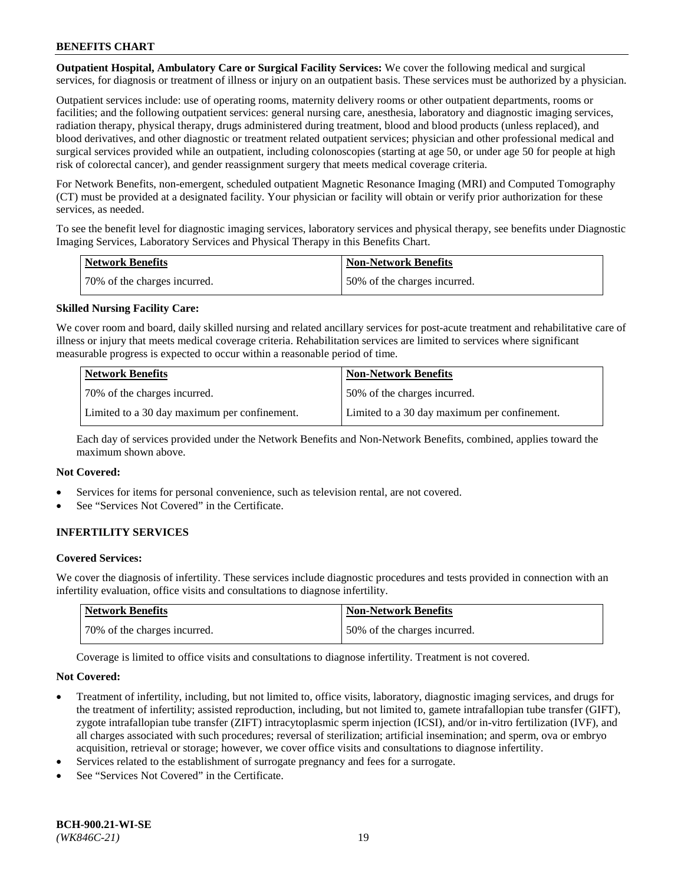**Outpatient Hospital, Ambulatory Care or Surgical Facility Services:** We cover the following medical and surgical services, for diagnosis or treatment of illness or injury on an outpatient basis. These services must be authorized by a physician.

Outpatient services include: use of operating rooms, maternity delivery rooms or other outpatient departments, rooms or facilities; and the following outpatient services: general nursing care, anesthesia, laboratory and diagnostic imaging services, radiation therapy, physical therapy, drugs administered during treatment, blood and blood products (unless replaced), and blood derivatives, and other diagnostic or treatment related outpatient services; physician and other professional medical and surgical services provided while an outpatient, including colonoscopies (starting at age 50, or under age 50 for people at high risk of colorectal cancer), and gender reassignment surgery that meets medical coverage criteria.

For Network Benefits, non-emergent, scheduled outpatient Magnetic Resonance Imaging (MRI) and Computed Tomography (CT) must be provided at a designated facility. Your physician or facility will obtain or verify prior authorization for these services, as needed.

To see the benefit level for diagnostic imaging services, laboratory services and physical therapy, see benefits under Diagnostic Imaging Services, Laboratory Services and Physical Therapy in this Benefits Chart.

| <b>Network Benefits</b>      | <b>Non-Network Benefits</b>  |
|------------------------------|------------------------------|
| 70% of the charges incurred. | 50% of the charges incurred. |

## **Skilled Nursing Facility Care:**

We cover room and board, daily skilled nursing and related ancillary services for post-acute treatment and rehabilitative care of illness or injury that meets medical coverage criteria. Rehabilitation services are limited to services where significant measurable progress is expected to occur within a reasonable period of time.

| Network Benefits                             | <b>Non-Network Benefits</b>                  |
|----------------------------------------------|----------------------------------------------|
| 70% of the charges incurred.                 | 50% of the charges incurred.                 |
| Limited to a 30 day maximum per confinement. | Limited to a 30 day maximum per confinement. |

Each day of services provided under the Network Benefits and Non-Network Benefits, combined, applies toward the maximum shown above.

### **Not Covered:**

- Services for items for personal convenience, such as television rental, are not covered.
- See "Services Not Covered" in the Certificate.

## **INFERTILITY SERVICES**

#### **Covered Services:**

We cover the diagnosis of infertility. These services include diagnostic procedures and tests provided in connection with an infertility evaluation, office visits and consultations to diagnose infertility.

| <b>Network Benefits</b>      | <b>Non-Network Benefits</b>  |
|------------------------------|------------------------------|
| 70% of the charges incurred. | 50% of the charges incurred. |

Coverage is limited to office visits and consultations to diagnose infertility. Treatment is not covered.

#### **Not Covered:**

- Treatment of infertility, including, but not limited to, office visits, laboratory, diagnostic imaging services, and drugs for the treatment of infertility; assisted reproduction, including, but not limited to, gamete intrafallopian tube transfer (GIFT), zygote intrafallopian tube transfer (ZIFT) intracytoplasmic sperm injection (ICSI), and/or in-vitro fertilization (IVF), and all charges associated with such procedures; reversal of sterilization; artificial insemination; and sperm, ova or embryo acquisition, retrieval or storage; however, we cover office visits and consultations to diagnose infertility.
- Services related to the establishment of surrogate pregnancy and fees for a surrogate.
- See "Services Not Covered" in the Certificate.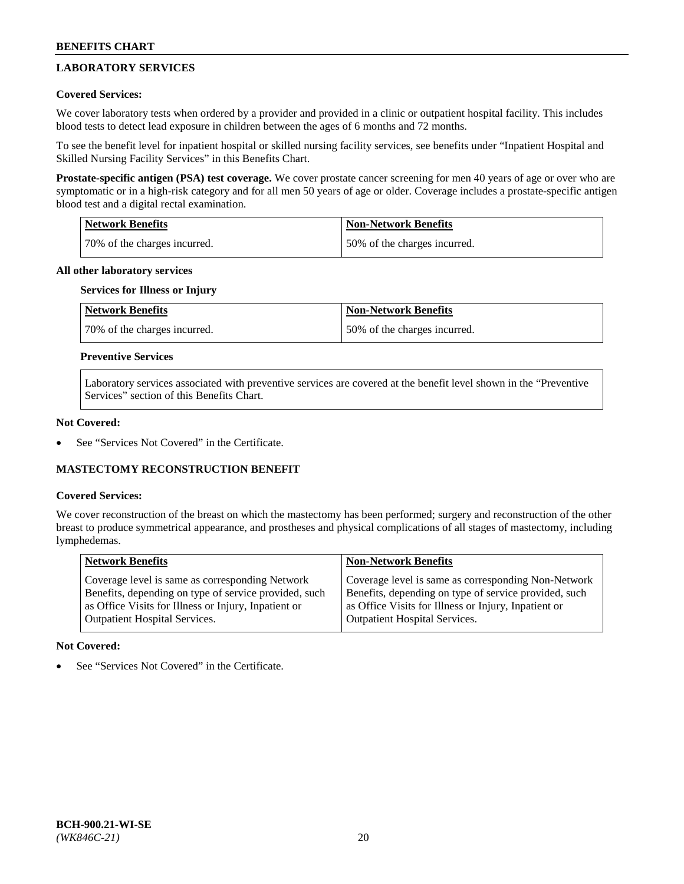# **LABORATORY SERVICES**

## **Covered Services:**

We cover laboratory tests when ordered by a provider and provided in a clinic or outpatient hospital facility. This includes blood tests to detect lead exposure in children between the ages of 6 months and 72 months.

To see the benefit level for inpatient hospital or skilled nursing facility services, see benefits under "Inpatient Hospital and Skilled Nursing Facility Services" in this Benefits Chart.

**Prostate-specific antigen (PSA) test coverage.** We cover prostate cancer screening for men 40 years of age or over who are symptomatic or in a high-risk category and for all men 50 years of age or older. Coverage includes a prostate-specific antigen blood test and a digital rectal examination.

| Network Benefits             | <b>Non-Network Benefits</b>  |
|------------------------------|------------------------------|
| 70% of the charges incurred. | 50% of the charges incurred. |

### **All other laboratory services**

# **Services for Illness or Injury**

| <b>Network Benefits</b>      | Non-Network Benefits         |
|------------------------------|------------------------------|
| 70% of the charges incurred. | 50% of the charges incurred. |

## **Preventive Services**

Laboratory services associated with preventive services are covered at the benefit level shown in the "Preventive Services" section of this Benefits Chart.

#### **Not Covered:**

See "Services Not Covered" in the Certificate.

## **MASTECTOMY RECONSTRUCTION BENEFIT**

#### **Covered Services:**

We cover reconstruction of the breast on which the mastectomy has been performed; surgery and reconstruction of the other breast to produce symmetrical appearance, and prostheses and physical complications of all stages of mastectomy, including lymphedemas.

| <b>Network Benefits</b>                               | <b>Non-Network Benefits</b>                           |
|-------------------------------------------------------|-------------------------------------------------------|
| Coverage level is same as corresponding Network       | Coverage level is same as corresponding Non-Network   |
| Benefits, depending on type of service provided, such | Benefits, depending on type of service provided, such |
| as Office Visits for Illness or Injury, Inpatient or  | as Office Visits for Illness or Injury, Inpatient or  |
| Outpatient Hospital Services.                         | Outpatient Hospital Services.                         |

#### **Not Covered:**

See "Services Not Covered" in the Certificate.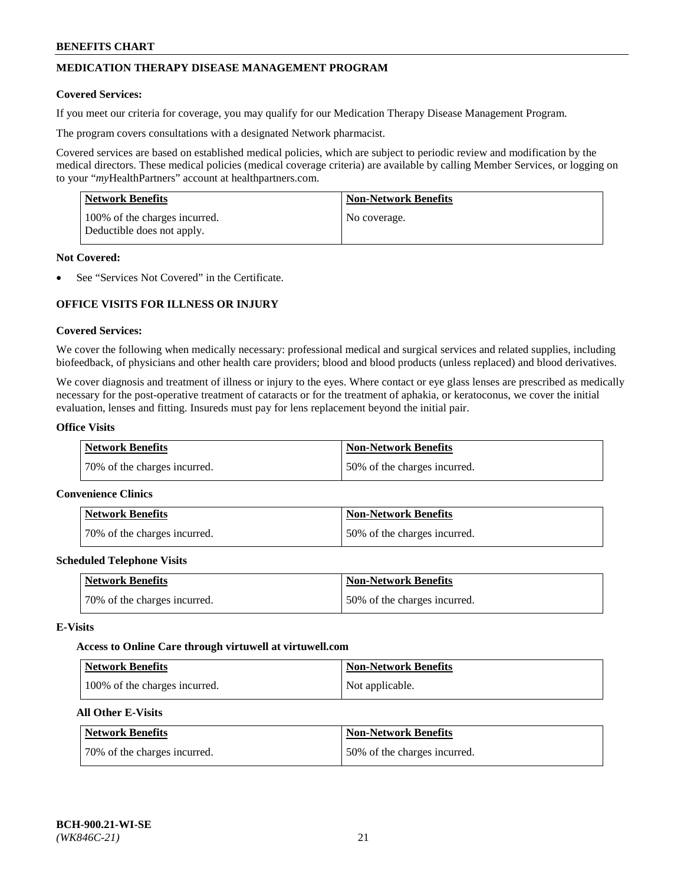# **MEDICATION THERAPY DISEASE MANAGEMENT PROGRAM**

### **Covered Services:**

If you meet our criteria for coverage, you may qualify for our Medication Therapy Disease Management Program.

The program covers consultations with a designated Network pharmacist.

Covered services are based on established medical policies, which are subject to periodic review and modification by the medical directors. These medical policies (medical coverage criteria) are available by calling Member Services, or logging on to your "*my*HealthPartners" account at [healthpartners.com.](http://www.healthpartners.com/)

| Network Benefits                                            | <b>Non-Network Benefits</b> |
|-------------------------------------------------------------|-----------------------------|
| 100% of the charges incurred.<br>Deductible does not apply. | No coverage.                |

### **Not Covered:**

See "Services Not Covered" in the Certificate.

# **OFFICE VISITS FOR ILLNESS OR INJURY**

### **Covered Services:**

We cover the following when medically necessary: professional medical and surgical services and related supplies, including biofeedback, of physicians and other health care providers; blood and blood products (unless replaced) and blood derivatives.

We cover diagnosis and treatment of illness or injury to the eyes. Where contact or eye glass lenses are prescribed as medically necessary for the post-operative treatment of cataracts or for the treatment of aphakia, or keratoconus, we cover the initial evaluation, lenses and fitting. Insureds must pay for lens replacement beyond the initial pair.

# **Office Visits**

| <b>Network Benefits</b>      | <b>Non-Network Benefits</b>  |
|------------------------------|------------------------------|
| 70% of the charges incurred. | 50% of the charges incurred. |

#### **Convenience Clinics**

| Network Benefits             | <b>Non-Network Benefits</b>  |
|------------------------------|------------------------------|
| 70% of the charges incurred. | 50% of the charges incurred. |

#### **Scheduled Telephone Visits**

| <b>Network Benefits</b>      | Non-Network Benefits         |
|------------------------------|------------------------------|
| 70% of the charges incurred. | 50% of the charges incurred. |

#### **E-Visits**

#### **Access to Online Care through virtuwell a[t virtuwell.com](https://www.virtuwell.com/)**

| Network Benefits              | <b>Non-Network Benefits</b> |
|-------------------------------|-----------------------------|
| 100% of the charges incurred. | Not applicable.             |

# **All Other E-Visits**

| <b>Network Benefits</b>      | <b>Non-Network Benefits</b>  |
|------------------------------|------------------------------|
| 70% of the charges incurred. | 50% of the charges incurred. |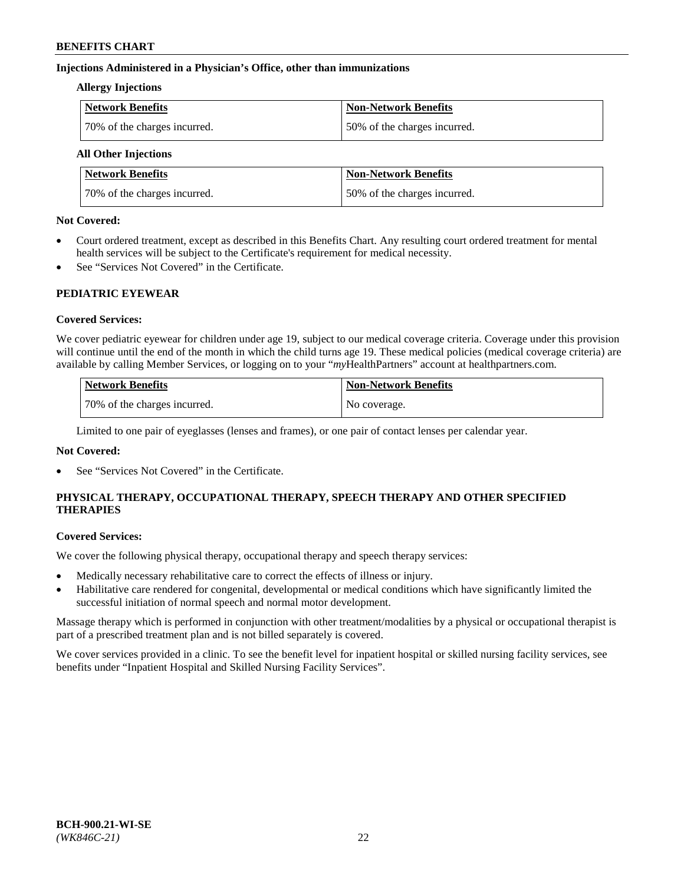## **Injections Administered in a Physician's Office, other than immunizations**

#### **Allergy Injections**

| <b>Network Benefits</b>      | <b>Non-Network Benefits</b>  |
|------------------------------|------------------------------|
| 70% of the charges incurred. | 50% of the charges incurred. |

# **All Other Injections**

| <b>Network Benefits</b>      | <b>Non-Network Benefits</b>  |
|------------------------------|------------------------------|
| 70% of the charges incurred. | 50% of the charges incurred. |

### **Not Covered:**

- Court ordered treatment, except as described in this Benefits Chart. Any resulting court ordered treatment for mental health services will be subject to the Certificate's requirement for medical necessity.
- See "Services Not Covered" in the Certificate.

## **PEDIATRIC EYEWEAR**

## **Covered Services:**

We cover pediatric eyewear for children under age 19, subject to our medical coverage criteria. Coverage under this provision will continue until the end of the month in which the child turns age 19. These medical policies (medical coverage criteria) are available by calling Member Services, or logging on to your "*my*HealthPartners" account a[t healthpartners.com.](https://www.healthpartners.com/hp/index.html)

| Network Benefits             | Non-Network Benefits |
|------------------------------|----------------------|
| 70% of the charges incurred. | No coverage.         |

Limited to one pair of eyeglasses (lenses and frames), or one pair of contact lenses per calendar year.

## **Not Covered:**

See "Services Not Covered" in the Certificate.

# **PHYSICAL THERAPY, OCCUPATIONAL THERAPY, SPEECH THERAPY AND OTHER SPECIFIED THERAPIES**

#### **Covered Services:**

We cover the following physical therapy, occupational therapy and speech therapy services:

- Medically necessary rehabilitative care to correct the effects of illness or injury.
- Habilitative care rendered for congenital, developmental or medical conditions which have significantly limited the successful initiation of normal speech and normal motor development.

Massage therapy which is performed in conjunction with other treatment/modalities by a physical or occupational therapist is part of a prescribed treatment plan and is not billed separately is covered.

We cover services provided in a clinic. To see the benefit level for inpatient hospital or skilled nursing facility services, see benefits under "Inpatient Hospital and Skilled Nursing Facility Services".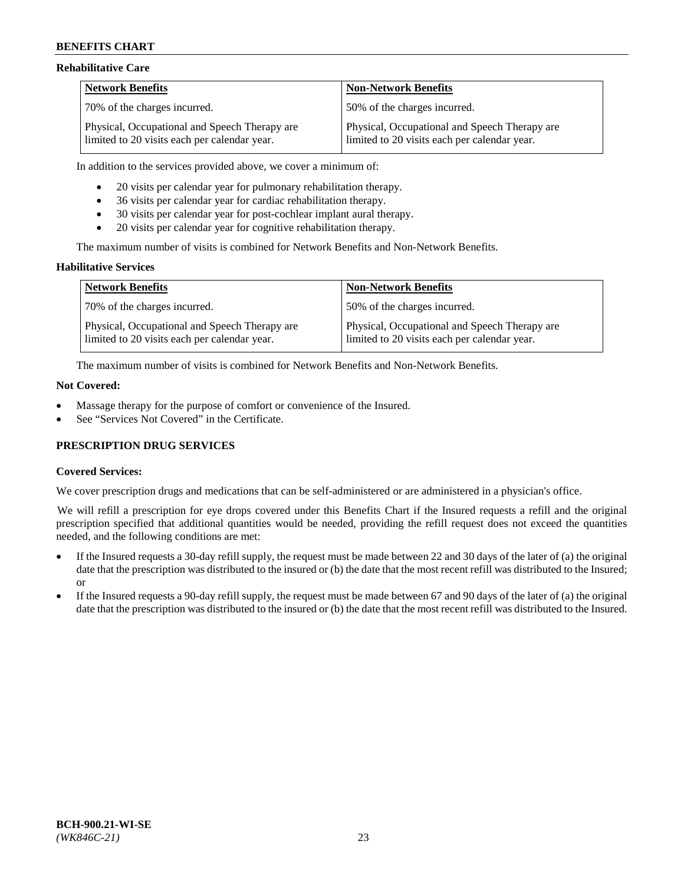### **Rehabilitative Care**

| <b>Network Benefits</b>                                                                       | <b>Non-Network Benefits</b>                                                                   |
|-----------------------------------------------------------------------------------------------|-----------------------------------------------------------------------------------------------|
| 70% of the charges incurred.                                                                  | 150% of the charges incurred.                                                                 |
| Physical, Occupational and Speech Therapy are<br>limited to 20 visits each per calendar year. | Physical, Occupational and Speech Therapy are<br>limited to 20 visits each per calendar year. |

In addition to the services provided above, we cover a minimum of:

- 20 visits per calendar year for pulmonary rehabilitation therapy.
- 36 visits per calendar year for cardiac rehabilitation therapy.
- 30 visits per calendar year for post-cochlear implant aural therapy.
- 20 visits per calendar year for cognitive rehabilitation therapy.

The maximum number of visits is combined for Network Benefits and Non-Network Benefits.

### **Habilitative Services**

| <b>Network Benefits</b>                                                                       | <b>Non-Network Benefits</b>                                                                   |
|-----------------------------------------------------------------------------------------------|-----------------------------------------------------------------------------------------------|
| 70% of the charges incurred.                                                                  | 50% of the charges incurred.                                                                  |
| Physical, Occupational and Speech Therapy are<br>limited to 20 visits each per calendar year. | Physical, Occupational and Speech Therapy are<br>limited to 20 visits each per calendar year. |

The maximum number of visits is combined for Network Benefits and Non-Network Benefits.

#### **Not Covered:**

- Massage therapy for the purpose of comfort or convenience of the Insured.
- See "Services Not Covered" in the Certificate.

## **PRESCRIPTION DRUG SERVICES**

## **Covered Services:**

We cover prescription drugs and medications that can be self-administered or are administered in a physician's office.

We will refill a prescription for eye drops covered under this Benefits Chart if the Insured requests a refill and the original prescription specified that additional quantities would be needed, providing the refill request does not exceed the quantities needed, and the following conditions are met:

- If the Insured requests a 30-day refill supply, the request must be made between 22 and 30 days of the later of (a) the original date that the prescription was distributed to the insured or (b) the date that the most recent refill was distributed to the Insured; or
- If the Insured requests a 90-day refill supply, the request must be made between 67 and 90 days of the later of (a) the original date that the prescription was distributed to the insured or (b) the date that the most recent refill was distributed to the Insured.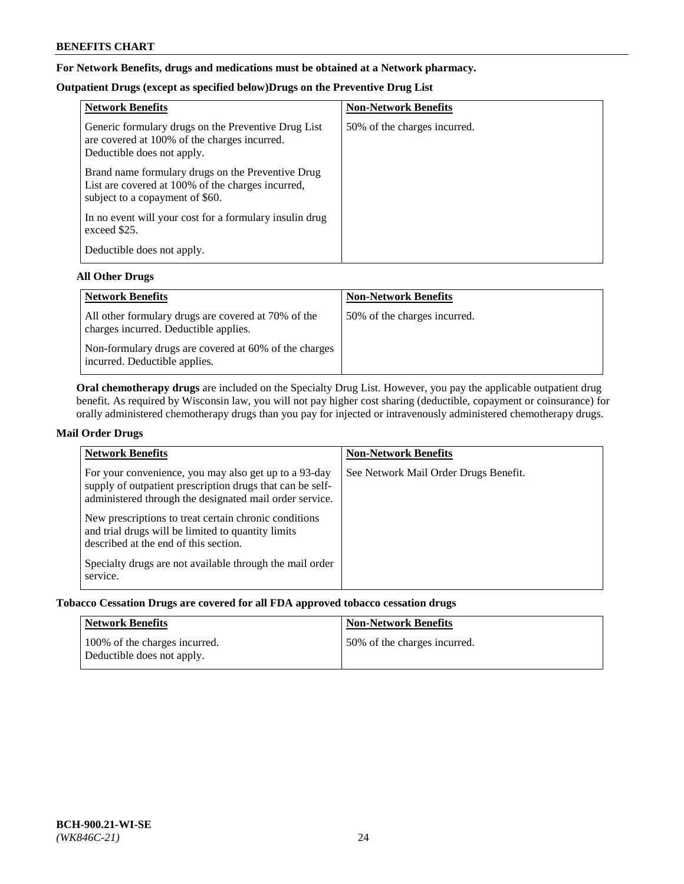# **For Network Benefits, drugs and medications must be obtained at a Network pharmacy.**

# **Outpatient Drugs (except as specified below)Drugs on the Preventive Drug List**

| <b>Network Benefits</b>                                                                                                                   | <b>Non-Network Benefits</b>  |
|-------------------------------------------------------------------------------------------------------------------------------------------|------------------------------|
| Generic formulary drugs on the Preventive Drug List<br>are covered at 100% of the charges incurred.<br>Deductible does not apply.         | 50% of the charges incurred. |
| Brand name formulary drugs on the Preventive Drug<br>List are covered at 100% of the charges incurred,<br>subject to a copayment of \$60. |                              |
| In no event will your cost for a formulary insulin drug<br>exceed \$25.                                                                   |                              |
| Deductible does not apply.                                                                                                                |                              |

## **All Other Drugs**

| <b>Network Benefits</b>                                                                      | <b>Non-Network Benefits</b>  |
|----------------------------------------------------------------------------------------------|------------------------------|
| All other formulary drugs are covered at 70% of the<br>charges incurred. Deductible applies. | 50% of the charges incurred. |
| Non-formulary drugs are covered at 60% of the charges<br>incurred. Deductible applies.       |                              |

**Oral chemotherapy drugs** are included on the Specialty Drug List. However, you pay the applicable outpatient drug benefit. As required by Wisconsin law, you will not pay higher cost sharing (deductible, copayment or coinsurance) for orally administered chemotherapy drugs than you pay for injected or intravenously administered chemotherapy drugs.

## **Mail Order Drugs**

| <b>Network Benefits</b>                                                                                                                                                                                                                                                                                                                                                                                       | <b>Non-Network Benefits</b>           |
|---------------------------------------------------------------------------------------------------------------------------------------------------------------------------------------------------------------------------------------------------------------------------------------------------------------------------------------------------------------------------------------------------------------|---------------------------------------|
| For your convenience, you may also get up to a 93-day<br>supply of outpatient prescription drugs that can be self-<br>administered through the designated mail order service.<br>New prescriptions to treat certain chronic conditions<br>and trial drugs will be limited to quantity limits<br>described at the end of this section.<br>Specialty drugs are not available through the mail order<br>service. | See Network Mail Order Drugs Benefit. |

## **Tobacco Cessation Drugs are covered for all FDA approved tobacco cessation drugs**

| Network Benefits                                            | <b>Non-Network Benefits</b>  |
|-------------------------------------------------------------|------------------------------|
| 100% of the charges incurred.<br>Deductible does not apply. | 50% of the charges incurred. |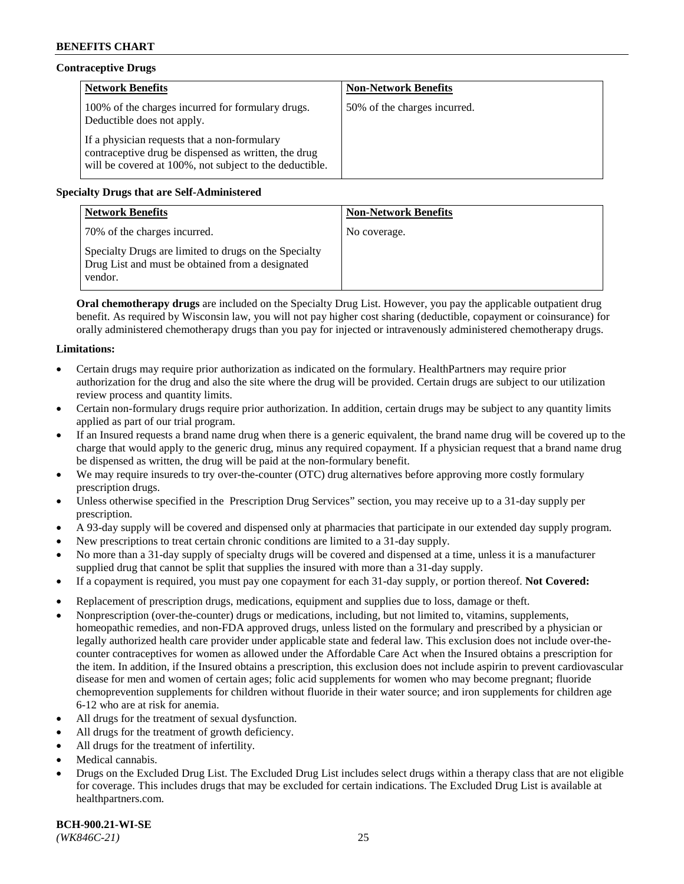# **Contraceptive Drugs**

| <b>Network Benefits</b>                                                                                                                                         | <b>Non-Network Benefits</b>  |
|-----------------------------------------------------------------------------------------------------------------------------------------------------------------|------------------------------|
| 100% of the charges incurred for formulary drugs.<br>Deductible does not apply.                                                                                 | 50% of the charges incurred. |
| If a physician requests that a non-formulary<br>contraceptive drug be dispensed as written, the drug<br>will be covered at 100%, not subject to the deductible. |                              |

# **Specialty Drugs that are Self-Administered**

| <b>Network Benefits</b>                                                                                              | <b>Non-Network Benefits</b> |
|----------------------------------------------------------------------------------------------------------------------|-----------------------------|
| 70% of the charges incurred.                                                                                         | No coverage.                |
| Specialty Drugs are limited to drugs on the Specialty<br>Drug List and must be obtained from a designated<br>vendor. |                             |

**Oral chemotherapy drugs** are included on the Specialty Drug List. However, you pay the applicable outpatient drug benefit. As required by Wisconsin law, you will not pay higher cost sharing (deductible, copayment or coinsurance) for orally administered chemotherapy drugs than you pay for injected or intravenously administered chemotherapy drugs.

## **Limitations:**

- Certain drugs may require prior authorization as indicated on the formulary. HealthPartners may require prior authorization for the drug and also the site where the drug will be provided. Certain drugs are subject to our utilization review process and quantity limits.
- Certain non-formulary drugs require prior authorization. In addition, certain drugs may be subject to any quantity limits applied as part of our trial program.
- If an Insured requests a brand name drug when there is a generic equivalent, the brand name drug will be covered up to the charge that would apply to the generic drug, minus any required copayment. If a physician request that a brand name drug be dispensed as written, the drug will be paid at the non-formulary benefit.
- We may require insureds to try over-the-counter (OTC) drug alternatives before approving more costly formulary prescription drugs.
- Unless otherwise specified in the Prescription Drug Services" section, you may receive up to a 31-day supply per prescription.
- A 93-day supply will be covered and dispensed only at pharmacies that participate in our extended day supply program.
- New prescriptions to treat certain chronic conditions are limited to a 31-day supply.
- No more than a 31-day supply of specialty drugs will be covered and dispensed at a time, unless it is a manufacturer supplied drug that cannot be split that supplies the insured with more than a 31-day supply.
- If a copayment is required, you must pay one copayment for each 31-day supply, or portion thereof. **Not Covered:**
- Replacement of prescription drugs, medications, equipment and supplies due to loss, damage or theft.
- Nonprescription (over-the-counter) drugs or medications, including, but not limited to, vitamins, supplements, homeopathic remedies, and non-FDA approved drugs, unless listed on the formulary and prescribed by a physician or legally authorized health care provider under applicable state and federal law. This exclusion does not include over-thecounter contraceptives for women as allowed under the Affordable Care Act when the Insured obtains a prescription for the item. In addition, if the Insured obtains a prescription, this exclusion does not include aspirin to prevent cardiovascular disease for men and women of certain ages; folic acid supplements for women who may become pregnant; fluoride chemoprevention supplements for children without fluoride in their water source; and iron supplements for children age 6-12 who are at risk for anemia.
- All drugs for the treatment of sexual dysfunction.
- All drugs for the treatment of growth deficiency.
- All drugs for the treatment of infertility.
- Medical cannabis.
- Drugs on the Excluded Drug List. The Excluded Drug List includes select drugs within a therapy class that are not eligible for coverage. This includes drugs that may be excluded for certain indications. The Excluded Drug List is available at [healthpartners.com.](http://www.healthpartners.com/)

**BCH-900.21-WI-SE**  *(WK846C-21)* 25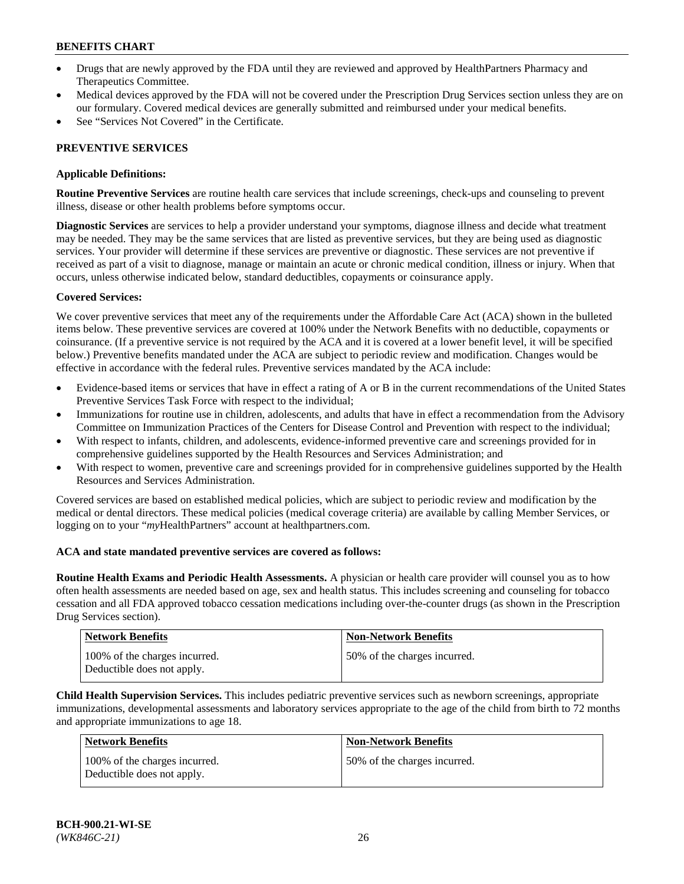- Drugs that are newly approved by the FDA until they are reviewed and approved by HealthPartners Pharmacy and Therapeutics Committee.
- Medical devices approved by the FDA will not be covered under the Prescription Drug Services section unless they are on our formulary. Covered medical devices are generally submitted and reimbursed under your medical benefits.
- See "Services Not Covered" in the Certificate.

## **PREVENTIVE SERVICES**

### **Applicable Definitions:**

**Routine Preventive Services** are routine health care services that include screenings, check-ups and counseling to prevent illness, disease or other health problems before symptoms occur.

**Diagnostic Services** are services to help a provider understand your symptoms, diagnose illness and decide what treatment may be needed. They may be the same services that are listed as preventive services, but they are being used as diagnostic services. Your provider will determine if these services are preventive or diagnostic. These services are not preventive if received as part of a visit to diagnose, manage or maintain an acute or chronic medical condition, illness or injury. When that occurs, unless otherwise indicated below, standard deductibles, copayments or coinsurance apply.

### **Covered Services:**

We cover preventive services that meet any of the requirements under the Affordable Care Act (ACA) shown in the bulleted items below. These preventive services are covered at 100% under the Network Benefits with no deductible, copayments or coinsurance. (If a preventive service is not required by the ACA and it is covered at a lower benefit level, it will be specified below.) Preventive benefits mandated under the ACA are subject to periodic review and modification. Changes would be effective in accordance with the federal rules. Preventive services mandated by the ACA include:

- Evidence-based items or services that have in effect a rating of A or B in the current recommendations of the United States Preventive Services Task Force with respect to the individual;
- Immunizations for routine use in children, adolescents, and adults that have in effect a recommendation from the Advisory Committee on Immunization Practices of the Centers for Disease Control and Prevention with respect to the individual;
- With respect to infants, children, and adolescents, evidence-informed preventive care and screenings provided for in comprehensive guidelines supported by the Health Resources and Services Administration; and
- With respect to women, preventive care and screenings provided for in comprehensive guidelines supported by the Health Resources and Services Administration.

Covered services are based on established medical policies, which are subject to periodic review and modification by the medical or dental directors. These medical policies (medical coverage criteria) are available by calling Member Services, or logging on to your "*my*HealthPartners" account at [healthpartners.com.](https://www.healthpartners.com/hp/index.html)

#### **ACA and state mandated preventive services are covered as follows:**

**Routine Health Exams and Periodic Health Assessments.** A physician or health care provider will counsel you as to how often health assessments are needed based on age, sex and health status. This includes screening and counseling for tobacco cessation and all FDA approved tobacco cessation medications including over-the-counter drugs (as shown in the Prescription Drug Services section).

| <b>Network Benefits</b>                                     | <b>Non-Network Benefits</b>  |
|-------------------------------------------------------------|------------------------------|
| 100% of the charges incurred.<br>Deductible does not apply. | 50% of the charges incurred. |

**Child Health Supervision Services.** This includes pediatric preventive services such as newborn screenings, appropriate immunizations, developmental assessments and laboratory services appropriate to the age of the child from birth to 72 months and appropriate immunizations to age 18.

| Network Benefits                                            | <b>Non-Network Benefits</b>  |
|-------------------------------------------------------------|------------------------------|
| 100% of the charges incurred.<br>Deductible does not apply. | 50% of the charges incurred. |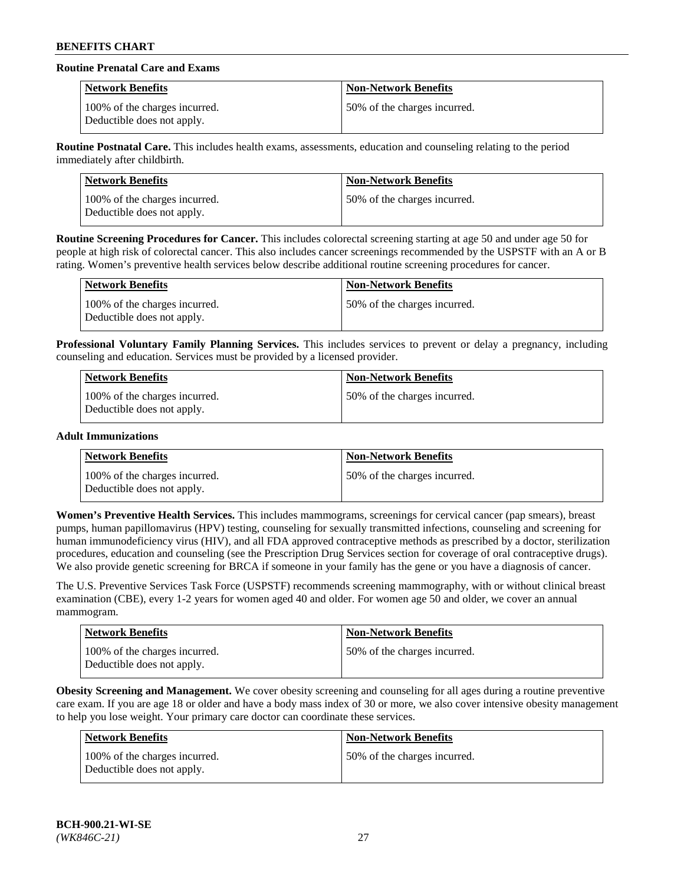# **Routine Prenatal Care and Exams**

| <b>Network Benefits</b>                                     | <b>Non-Network Benefits</b>  |
|-------------------------------------------------------------|------------------------------|
| 100% of the charges incurred.<br>Deductible does not apply. | 50% of the charges incurred. |

**Routine Postnatal Care.** This includes health exams, assessments, education and counseling relating to the period immediately after childbirth.

| <b>Network Benefits</b>                                     | <b>Non-Network Benefits</b>  |
|-------------------------------------------------------------|------------------------------|
| 100% of the charges incurred.<br>Deductible does not apply. | 50% of the charges incurred. |

**Routine Screening Procedures for Cancer.** This includes colorectal screening starting at age 50 and under age 50 for people at high risk of colorectal cancer. This also includes cancer screenings recommended by the USPSTF with an A or B rating. Women's preventive health services below describe additional routine screening procedures for cancer.

| <b>Network Benefits</b>                                     | <b>Non-Network Benefits</b>  |
|-------------------------------------------------------------|------------------------------|
| 100% of the charges incurred.<br>Deductible does not apply. | 50% of the charges incurred. |

**Professional Voluntary Family Planning Services.** This includes services to prevent or delay a pregnancy, including counseling and education. Services must be provided by a licensed provider.

| Network Benefits                                            | <b>Non-Network Benefits</b>  |
|-------------------------------------------------------------|------------------------------|
| 100% of the charges incurred.<br>Deductible does not apply. | 50% of the charges incurred. |

### **Adult Immunizations**

| Network Benefits                                            | <b>Non-Network Benefits</b>  |
|-------------------------------------------------------------|------------------------------|
| 100% of the charges incurred.<br>Deductible does not apply. | 50% of the charges incurred. |

**Women's Preventive Health Services.** This includes mammograms, screenings for cervical cancer (pap smears), breast pumps, human papillomavirus (HPV) testing, counseling for sexually transmitted infections, counseling and screening for human immunodeficiency virus (HIV), and all FDA approved contraceptive methods as prescribed by a doctor, sterilization procedures, education and counseling (see the Prescription Drug Services section for coverage of oral contraceptive drugs). We also provide genetic screening for BRCA if someone in your family has the gene or you have a diagnosis of cancer.

The U.S. Preventive Services Task Force (USPSTF) recommends screening mammography, with or without clinical breast examination (CBE), every 1-2 years for women aged 40 and older. For women age 50 and older, we cover an annual mammogram.

| Network Benefits                                            | <b>Non-Network Benefits</b>  |
|-------------------------------------------------------------|------------------------------|
| 100% of the charges incurred.<br>Deductible does not apply. | 50% of the charges incurred. |

**Obesity Screening and Management.** We cover obesity screening and counseling for all ages during a routine preventive care exam. If you are age 18 or older and have a body mass index of 30 or more, we also cover intensive obesity management to help you lose weight. Your primary care doctor can coordinate these services.

| Network Benefits                                            | <b>Non-Network Benefits</b>  |
|-------------------------------------------------------------|------------------------------|
| 100% of the charges incurred.<br>Deductible does not apply. | 50% of the charges incurred. |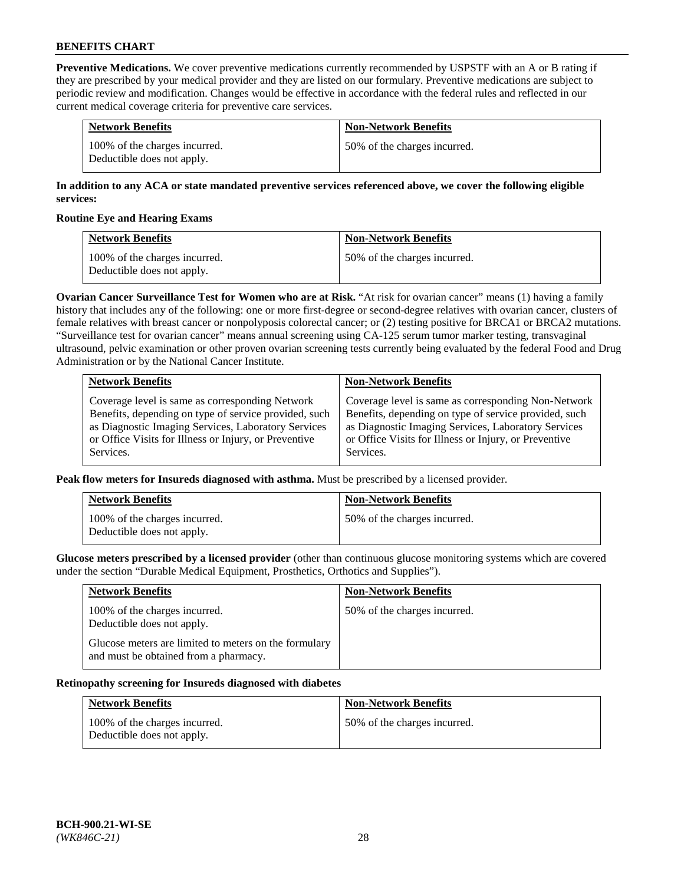**Preventive Medications.** We cover preventive medications currently recommended by USPSTF with an A or B rating if they are prescribed by your medical provider and they are listed on our formulary. Preventive medications are subject to periodic review and modification. Changes would be effective in accordance with the federal rules and reflected in our current medical coverage criteria for preventive care services.

| <b>Network Benefits</b>                                     | <b>Non-Network Benefits</b>  |
|-------------------------------------------------------------|------------------------------|
| 100% of the charges incurred.<br>Deductible does not apply. | 50% of the charges incurred. |

## **In addition to any ACA or state mandated preventive services referenced above, we cover the following eligible services:**

### **Routine Eye and Hearing Exams**

| <b>Network Benefits</b>                                     | <b>Non-Network Benefits</b>  |
|-------------------------------------------------------------|------------------------------|
| 100% of the charges incurred.<br>Deductible does not apply. | 50% of the charges incurred. |

**Ovarian Cancer Surveillance Test for Women who are at Risk.** "At risk for ovarian cancer" means (1) having a family history that includes any of the following: one or more first-degree or second-degree relatives with ovarian cancer, clusters of female relatives with breast cancer or nonpolyposis colorectal cancer; or (2) testing positive for BRCA1 or BRCA2 mutations. "Surveillance test for ovarian cancer" means annual screening using CA-125 serum tumor marker testing, transvaginal ultrasound, pelvic examination or other proven ovarian screening tests currently being evaluated by the federal Food and Drug Administration or by the National Cancer Institute.

| <b>Network Benefits</b>                               | <b>Non-Network Benefits</b>                           |
|-------------------------------------------------------|-------------------------------------------------------|
| Coverage level is same as corresponding Network       | Coverage level is same as corresponding Non-Network   |
| Benefits, depending on type of service provided, such | Benefits, depending on type of service provided, such |
| as Diagnostic Imaging Services, Laboratory Services   | as Diagnostic Imaging Services, Laboratory Services   |
| or Office Visits for Illness or Injury, or Preventive | or Office Visits for Illness or Injury, or Preventive |
| Services.                                             | Services.                                             |

**Peak flow meters for Insureds diagnosed with asthma.** Must be prescribed by a licensed provider.

| <b>Network Benefits</b>                                     | <b>Non-Network Benefits</b>  |
|-------------------------------------------------------------|------------------------------|
| 100% of the charges incurred.<br>Deductible does not apply. | 50% of the charges incurred. |

**Glucose meters prescribed by a licensed provider** (other than continuous glucose monitoring systems which are covered under the section "Durable Medical Equipment, Prosthetics, Orthotics and Supplies").

| <b>Network Benefits</b>                                                                        | <b>Non-Network Benefits</b>  |
|------------------------------------------------------------------------------------------------|------------------------------|
| 100% of the charges incurred.<br>Deductible does not apply.                                    | 50% of the charges incurred. |
| Glucose meters are limited to meters on the formulary<br>and must be obtained from a pharmacy. |                              |

#### **Retinopathy screening for Insureds diagnosed with diabetes**

| <b>Network Benefits</b>                                     | <b>Non-Network Benefits</b>  |
|-------------------------------------------------------------|------------------------------|
| 100% of the charges incurred.<br>Deductible does not apply. | 50% of the charges incurred. |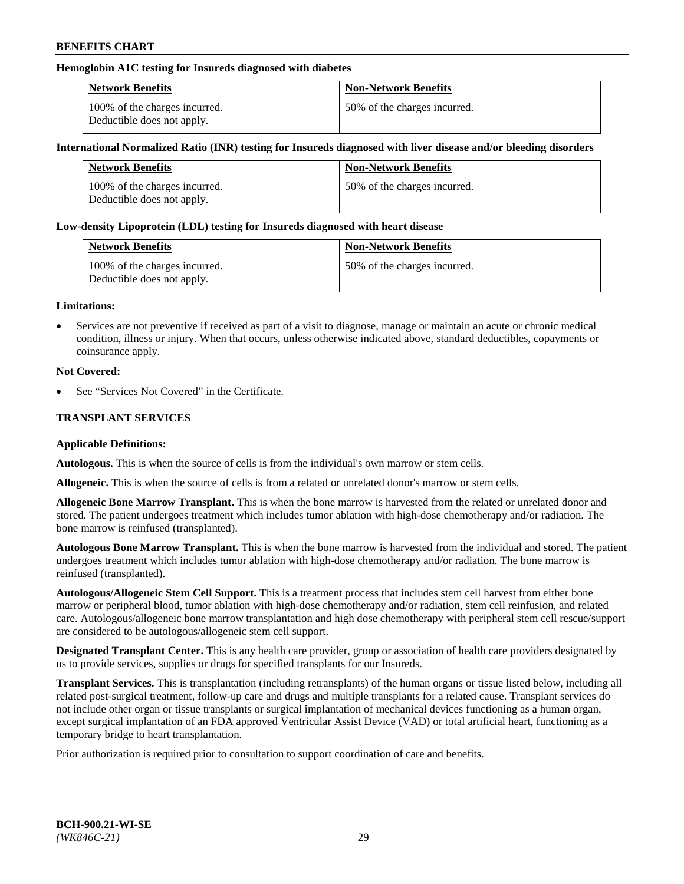## **Hemoglobin A1C testing for Insureds diagnosed with diabetes**

| <b>Network Benefits</b>                                     | <b>Non-Network Benefits</b>  |
|-------------------------------------------------------------|------------------------------|
| 100% of the charges incurred.<br>Deductible does not apply. | 50% of the charges incurred. |

### **International Normalized Ratio (INR) testing for Insureds diagnosed with liver disease and/or bleeding disorders**

| <b>Network Benefits</b>                                     | <b>Non-Network Benefits</b>  |
|-------------------------------------------------------------|------------------------------|
| 100% of the charges incurred.<br>Deductible does not apply. | 50% of the charges incurred. |

### **Low-density Lipoprotein (LDL) testing for Insureds diagnosed with heart disease**

| <b>Network Benefits</b>                                     | <b>Non-Network Benefits</b>  |
|-------------------------------------------------------------|------------------------------|
| 100% of the charges incurred.<br>Deductible does not apply. | 50% of the charges incurred. |

#### **Limitations:**

• Services are not preventive if received as part of a visit to diagnose, manage or maintain an acute or chronic medical condition, illness or injury. When that occurs, unless otherwise indicated above, standard deductibles, copayments or coinsurance apply.

### **Not Covered:**

See "Services Not Covered" in the Certificate.

## **TRANSPLANT SERVICES**

#### **Applicable Definitions:**

**Autologous.** This is when the source of cells is from the individual's own marrow or stem cells.

**Allogeneic.** This is when the source of cells is from a related or unrelated donor's marrow or stem cells.

**Allogeneic Bone Marrow Transplant.** This is when the bone marrow is harvested from the related or unrelated donor and stored. The patient undergoes treatment which includes tumor ablation with high-dose chemotherapy and/or radiation. The bone marrow is reinfused (transplanted).

**Autologous Bone Marrow Transplant.** This is when the bone marrow is harvested from the individual and stored. The patient undergoes treatment which includes tumor ablation with high-dose chemotherapy and/or radiation. The bone marrow is reinfused (transplanted).

**Autologous/Allogeneic Stem Cell Support.** This is a treatment process that includes stem cell harvest from either bone marrow or peripheral blood, tumor ablation with high-dose chemotherapy and/or radiation, stem cell reinfusion, and related care. Autologous/allogeneic bone marrow transplantation and high dose chemotherapy with peripheral stem cell rescue/support are considered to be autologous/allogeneic stem cell support.

**Designated Transplant Center.** This is any health care provider, group or association of health care providers designated by us to provide services, supplies or drugs for specified transplants for our Insureds.

**Transplant Services.** This is transplantation (including retransplants) of the human organs or tissue listed below, including all related post-surgical treatment, follow-up care and drugs and multiple transplants for a related cause. Transplant services do not include other organ or tissue transplants or surgical implantation of mechanical devices functioning as a human organ, except surgical implantation of an FDA approved Ventricular Assist Device (VAD) or total artificial heart, functioning as a temporary bridge to heart transplantation.

Prior authorization is required prior to consultation to support coordination of care and benefits.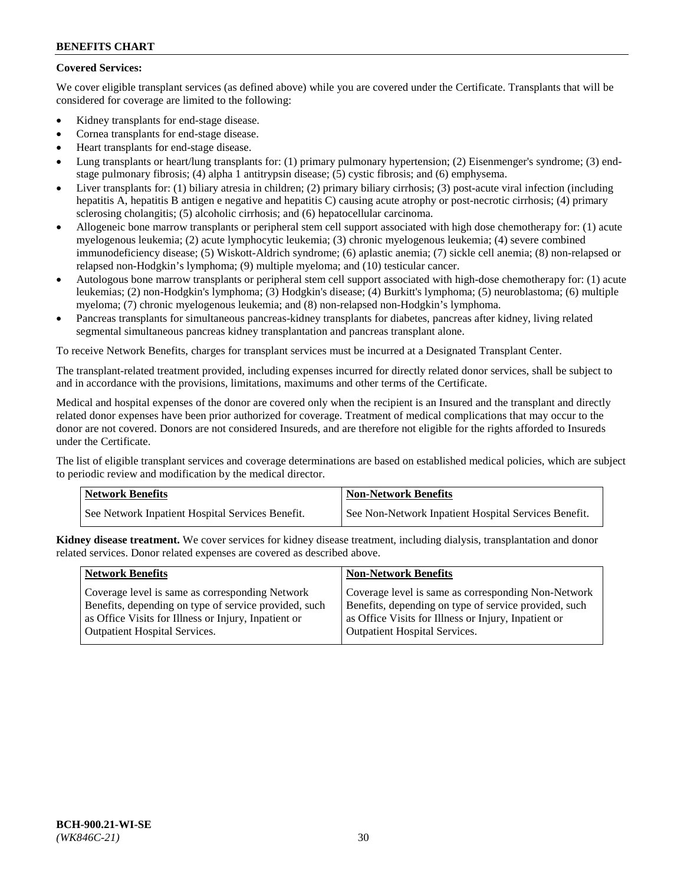# **Covered Services:**

We cover eligible transplant services (as defined above) while you are covered under the Certificate. Transplants that will be considered for coverage are limited to the following:

- Kidney transplants for end-stage disease.
- Cornea transplants for end-stage disease.
- Heart transplants for end-stage disease.
- Lung transplants or heart/lung transplants for: (1) primary pulmonary hypertension; (2) Eisenmenger's syndrome; (3) endstage pulmonary fibrosis; (4) alpha 1 antitrypsin disease; (5) cystic fibrosis; and (6) emphysema.
- Liver transplants for: (1) biliary atresia in children; (2) primary biliary cirrhosis; (3) post-acute viral infection (including hepatitis A, hepatitis B antigen e negative and hepatitis C) causing acute atrophy or post-necrotic cirrhosis; (4) primary sclerosing cholangitis; (5) alcoholic cirrhosis; and (6) hepatocellular carcinoma.
- Allogeneic bone marrow transplants or peripheral stem cell support associated with high dose chemotherapy for: (1) acute myelogenous leukemia; (2) acute lymphocytic leukemia; (3) chronic myelogenous leukemia; (4) severe combined immunodeficiency disease; (5) Wiskott-Aldrich syndrome; (6) aplastic anemia; (7) sickle cell anemia; (8) non-relapsed or relapsed non-Hodgkin's lymphoma; (9) multiple myeloma; and (10) testicular cancer.
- Autologous bone marrow transplants or peripheral stem cell support associated with high-dose chemotherapy for: (1) acute leukemias; (2) non-Hodgkin's lymphoma; (3) Hodgkin's disease; (4) Burkitt's lymphoma; (5) neuroblastoma; (6) multiple myeloma; (7) chronic myelogenous leukemia; and (8) non-relapsed non-Hodgkin's lymphoma.
- Pancreas transplants for simultaneous pancreas-kidney transplants for diabetes, pancreas after kidney, living related segmental simultaneous pancreas kidney transplantation and pancreas transplant alone.

To receive Network Benefits, charges for transplant services must be incurred at a Designated Transplant Center.

The transplant-related treatment provided, including expenses incurred for directly related donor services, shall be subject to and in accordance with the provisions, limitations, maximums and other terms of the Certificate.

Medical and hospital expenses of the donor are covered only when the recipient is an Insured and the transplant and directly related donor expenses have been prior authorized for coverage. Treatment of medical complications that may occur to the donor are not covered. Donors are not considered Insureds, and are therefore not eligible for the rights afforded to Insureds under the Certificate.

The list of eligible transplant services and coverage determinations are based on established medical policies, which are subject to periodic review and modification by the medical director.

| Network Benefits                                 | <b>Non-Network Benefits</b>                          |
|--------------------------------------------------|------------------------------------------------------|
| See Network Inpatient Hospital Services Benefit. | See Non-Network Inpatient Hospital Services Benefit. |

**Kidney disease treatment.** We cover services for kidney disease treatment, including dialysis, transplantation and donor related services. Donor related expenses are covered as described above.

| <b>Network Benefits</b>                               | <b>Non-Network Benefits</b>                           |
|-------------------------------------------------------|-------------------------------------------------------|
| Coverage level is same as corresponding Network       | Coverage level is same as corresponding Non-Network   |
| Benefits, depending on type of service provided, such | Benefits, depending on type of service provided, such |
| as Office Visits for Illness or Injury, Inpatient or  | as Office Visits for Illness or Injury, Inpatient or  |
| <b>Outpatient Hospital Services.</b>                  | Outpatient Hospital Services.                         |